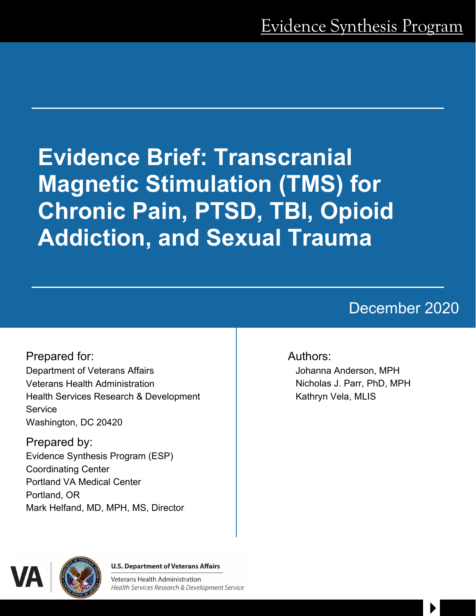# **Evidence Brief: Transcranial Magnetic Stimulation (TMS) for Chronic Pain, PTSD, TBI, Opioid Addiction, and Sexual Trauma**

# December 2020

 $\blacktriangleright$ 

Prepared for: Department of Veterans Affairs Veterans Health Administration Health Services Research & Development **Service** Washington, DC 20420

Prepared by: Evidence Synthesis Program (ESP) Coordinating Center Portland VA Medical Center Portland, OR Mark Helfand, MD, MPH, MS, Director

#### Authors:

Johanna Anderson, MPH Nicholas J. Parr, PhD, MPH Kathryn Vela, MLIS



**U.S. Department of Veterans Affairs** 

**Veterans Health Administration** Health Services Research & Development Service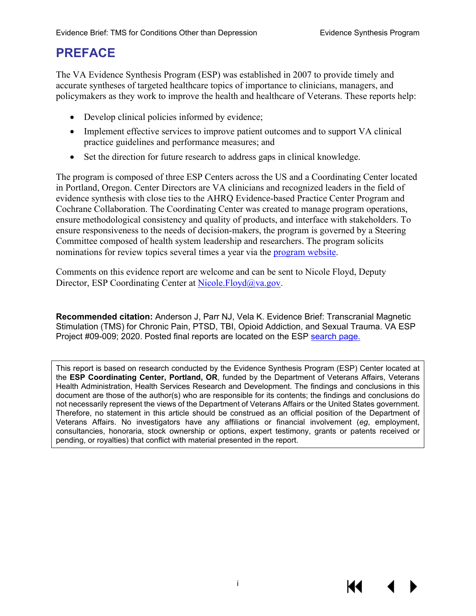# **PREFACE**

The VA Evidence Synthesis Program (ESP) was established in 2007 to provide timely and accurate syntheses of targeted healthcare topics of importance to clinicians, managers, and policymakers as they work to improve the health and healthcare of Veterans. These reports help:

- Develop clinical policies informed by evidence;
- Implement effective services to improve patient outcomes and to support VA clinical practice guidelines and performance measures; and
- Set the direction for future research to address gaps in clinical knowledge.

The program is composed of three ESP Centers across the US and a Coordinating Center located in Portland, Oregon. Center Directors are VA clinicians and recognized leaders in the field of evidence synthesis with close ties to the AHRQ Evidence-based Practice Center Program and Cochrane Collaboration. The Coordinating Center was created to manage program operations, ensure methodological consistency and quality of products, and interface with stakeholders. To ensure responsiveness to the needs of decision-makers, the program is governed by a Steering Committee composed of health system leadership and researchers. The program solicits nominations for review topics several times a year via the [program website.](https://www.hsrd.research.va.gov/publications/esp/TopicNomination.cfm)

Comments on this evidence report are welcome and can be sent to Nicole Floyd, Deputy Director, ESP Coordinating Center at [Nicole.Floyd@va.gov.](mailto:Nicole.Floyd@va.gov)

**Recommended citation:** Anderson J, Parr NJ, Vela K. Evidence Brief: Transcranial Magnetic Stimulation (TMS) for Chronic Pain, PTSD, TBI, Opioid Addiction, and Sexual Trauma. VA ESP Project #09-009; 2020. Posted final reports are located on the ESP [search page.](https://www.hsrd.research.va.gov/publications/esp/reports.cfm)

This report is based on research conducted by the Evidence Synthesis Program (ESP) Center located at the **ESP Coordinating Center, Portland, OR**, funded by the Department of Veterans Affairs, Veterans Health Administration, Health Services Research and Development. The findings and conclusions in this document are those of the author(s) who are responsible for its contents; the findings and conclusions do not necessarily represent the views of the Department of Veterans Affairs or the United States government. Therefore, no statement in this article should be construed as an official position of the Department of Veterans Affairs. No investigators have any affiliations or financial involvement (*eg*, employment, consultancies, honoraria, stock ownership or options, expert testimony, grants or patents received or pending, or royalties) that conflict with material presented in the report.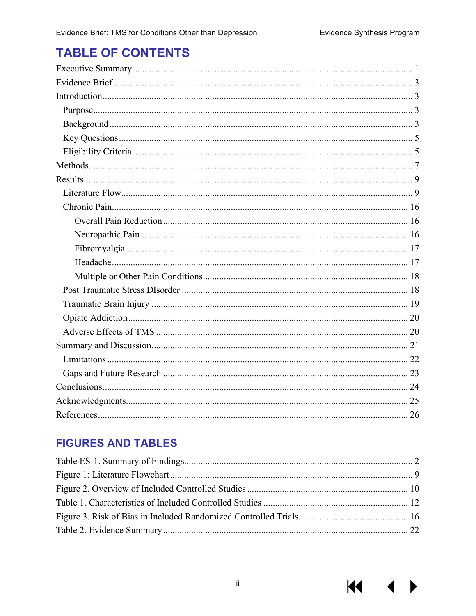$M \sim 1$ 

# **TABLE OF CONTENTS**

## **FIGURES AND TABLES**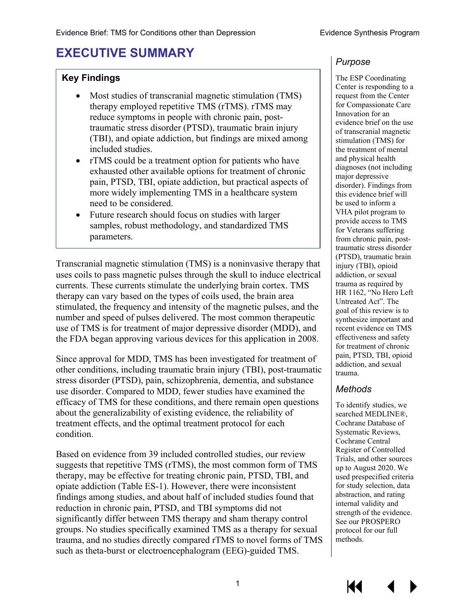# <span id="page-3-0"></span>**EXECUTIVE SUMMARY**

#### **Key Findings**

- Most studies of transcranial magnetic stimulation (TMS) therapy employed repetitive TMS (rTMS). rTMS may reduce symptoms in people with chronic pain, posttraumatic stress disorder (PTSD), traumatic brain injury (TBI), and opiate addiction, but findings are mixed among included studies.
- rTMS could be a treatment option for patients who have exhausted other available options for treatment of chronic pain, PTSD, TBI, opiate addiction, but practical aspects of more widely implementing TMS in a healthcare system need to be considered.
- Future research should focus on studies with larger samples, robust methodology, and standardized TMS parameters.

Transcranial magnetic stimulation (TMS) is a noninvasive therapy that uses coils to pass magnetic pulses through the skull to induce electrical currents. These currents stimulate the underlying brain cortex. TMS therapy can vary based on the types of coils used, the brain area stimulated, the frequency and intensity of the magnetic pulses, and the number and speed of pulses delivered. The most common therapeutic use of TMS is for treatment of major depressive disorder (MDD), and the FDA began approving various devices for this application in 2008.

Since approval for MDD, TMS has been investigated for treatment of other conditions, including traumatic brain injury (TBI), post-traumatic stress disorder (PTSD), pain, schizophrenia, dementia, and substance use disorder. Compared to MDD, fewer studies have examined the efficacy of TMS for these conditions, and there remain open questions about the generalizability of existing evidence, the reliability of treatment effects, and the optimal treatment protocol for each condition.

Based on evidence from 39 included controlled studies, our review suggests that repetitive TMS (rTMS), the most common form of TMS therapy, may be effective for treating chronic pain, PTSD, TBI, and opiate addiction (Table ES-1). However, there were inconsistent findings among studies, and about half of included studies found that reduction in chronic pain, PTSD, and TBI symptoms did not significantly differ between TMS therapy and sham therapy control groups. No studies specifically examined TMS as a therapy for sexual trauma, and no studies directly compared rTMS to novel forms of TMS such as theta-burst or electroencephalogram (EEG)-guided TMS.

#### *Purpose*

The ESP Coordinating Center is responding to a request from the Center for Compassionate Care Innovation for an evidence brief on the use of transcranial magnetic stimulation (TMS) for the treatment of mental and physical health diagnoses (not including major depressive disorder). Findings from this evidence brief will be used to inform a VHA pilot program to provide access to TMS for Veterans suffering from chronic pain, posttraumatic stress disorder (PTSD), traumatic brain injury (TBI), opioid addiction, or sexual trauma as required by HR 1162, "No Hero Left Untreated Act". The goal of this review is to synthesize important and recent evidence on TMS effectiveness and safety for treatment of chronic pain, PTSD, TBI, opioid addiction, and sexual trauma.

#### *Methods*

To identify studies, we searched MEDLINE®, Cochrane Database of Systematic Reviews, Cochrane Central Register of Controlled Trials, and other sources up to August 2020. We used prespecified criteria for study selection, data abstraction, and rating internal validity and strength of the evidence. See our PROSPERO protocol for our full methods.

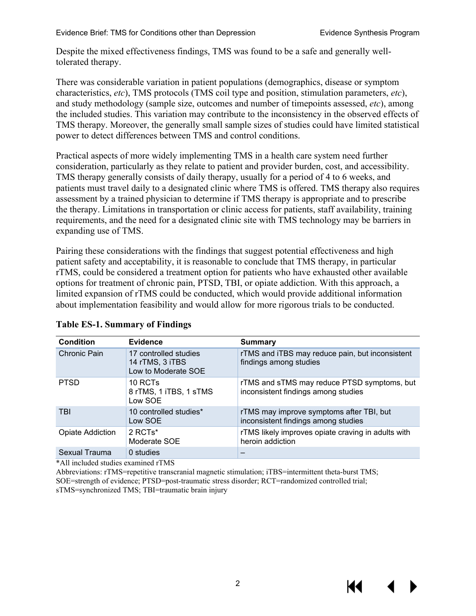Despite the mixed effectiveness findings, TMS was found to be a safe and generally welltolerated therapy.

There was considerable variation in patient populations (demographics, disease or symptom characteristics, *etc*), TMS protocols (TMS coil type and position, stimulation parameters, *etc*), and study methodology (sample size, outcomes and number of timepoints assessed, *etc*), among the included studies. This variation may contribute to the inconsistency in the observed effects of TMS therapy. Moreover, the generally small sample sizes of studies could have limited statistical power to detect differences between TMS and control conditions.

Practical aspects of more widely implementing TMS in a health care system need further consideration, particularly as they relate to patient and provider burden, cost, and accessibility. TMS therapy generally consists of daily therapy, usually for a period of 4 to 6 weeks, and patients must travel daily to a designated clinic where TMS is offered. TMS therapy also requires assessment by a trained physician to determine if TMS therapy is appropriate and to prescribe the therapy. Limitations in transportation or clinic access for patients, staff availability, training requirements, and the need for a designated clinic site with TMS technology may be barriers in expanding use of TMS.

Pairing these considerations with the findings that suggest potential effectiveness and high patient safety and acceptability, it is reasonable to conclude that TMS therapy, in particular rTMS, could be considered a treatment option for patients who have exhausted other available options for treatment of chronic pain, PTSD, TBI, or opiate addiction. With this approach, a limited expansion of rTMS could be conducted, which would provide additional information about implementation feasibility and would allow for more rigorous trials to be conducted.

| <b>Condition</b>        | Evidence                                                        | <b>Summary</b>                                                                     |
|-------------------------|-----------------------------------------------------------------|------------------------------------------------------------------------------------|
| Chronic Pain            | 17 controlled studies<br>14 rTMS, 3 iTBS<br>Low to Moderate SOE | rTMS and iTBS may reduce pain, but inconsistent<br>findings among studies          |
| <b>PTSD</b>             | 10 RCTs<br>8 rTMS, 1 iTBS, 1 sTMS<br>Low SOE                    | rTMS and sTMS may reduce PTSD symptoms, but<br>inconsistent findings among studies |
| <b>TBI</b>              | 10 controlled studies*<br>Low SOE                               | rTMS may improve symptoms after TBI, but<br>inconsistent findings among studies    |
| <b>Opiate Addiction</b> | $2$ RCTs <sup>*</sup><br>Moderate SOE                           | rTMS likely improves opiate craving in adults with<br>heroin addiction             |
| Sexual Trauma           | 0 studies                                                       |                                                                                    |

#### <span id="page-4-0"></span>**Table ES-1. Summary of Findings**

\*All included studies examined rTMS

Abbreviations: rTMS=repetitive transcranial magnetic stimulation; iTBS=intermittent theta-burst TMS; SOE=strength of evidence; PTSD=post-traumatic stress disorder; RCT=randomized controlled trial; sTMS=synchronized TMS; TBI=traumatic brain injury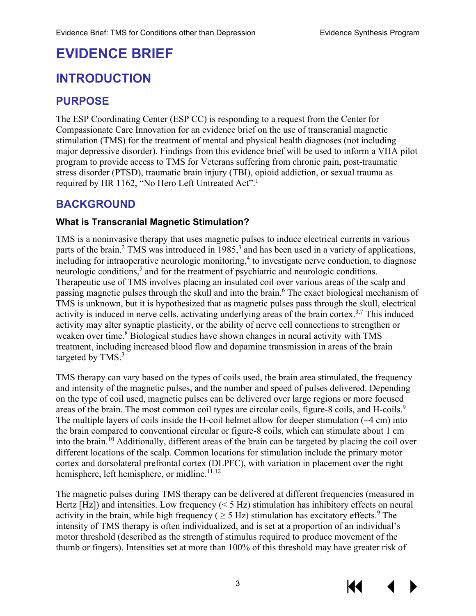# <span id="page-5-0"></span>**EVIDENCE BRIEF**

# <span id="page-5-1"></span>**INTRODUCTION**

## <span id="page-5-2"></span>**PURPOSE**

The ESP Coordinating Center (ESP CC) is responding to a request from the Center for Compassionate Care Innovation for an evidence brief on the use of transcranial magnetic stimulation (TMS) for the treatment of mental and physical health diagnoses (not including major depressive disorder). Findings from this evidence brief will be used to inform a VHA pilot program to provide access to TMS for Veterans suffering from chronic pain, post-traumatic stress disorder (PTSD), traumatic brain injury (TBI), opioid addiction, or sexual trauma as required by HR [1](#page-28-1)162, "No Hero Left Untreated Act".<sup>1</sup>

## <span id="page-5-3"></span>**BACKGROUND**

#### **What is Transcranial Magnetic Stimulation?**

TMS is a noninvasive therapy that uses magnetic pulses to induce electrical currents in various parts of the brain[.](#page-28-2)<sup>2</sup> TMS was introduced in 1985,<sup>3</sup> and has been used in a variety of applications,  $\frac{1}{2}$  including for intraoperative neurologic monitoring,<sup>4</sup> to investigate nerve conduction, to diagnose neurologic conditions, [5](#page-28-5) and for the treatment of psychiatric and neurologic conditions. Therapeutic use of TMS involves placing an insulated coil over various areas of the scalp and passing magnetic pulses through the skull and into the brain. [6](#page-28-6) The exact biological mechanism of TMS is unknown, but it is hypothesized that as magnetic pulses pass through the skull, electrical activity is induced in nerve cells, activating underlying areas of the brain cortex.<sup>[3](#page-28-3)[,7](#page-28-7)</sup> This induced activity may alter synaptic plasticity, or the ability of nerve cell connections to strengthen or weaken over time.<sup>[8](#page-28-8)</sup> Biological studies have shown changes in neural activity with TMS treatment, including increased blood flow and dopamine transmission in areas of the brain targeted by TMS.<sup>3</sup>

TMS therapy can vary based on the types of coils used, the brain area stimulated, the frequency and intensity of the magnetic pulses, and the number and speed of pulses delivered. Depending on the type of coil used, magnetic pulses can be delivered over large regions or more focused areas of the brain. The most common coil types are circular coils, figure-8 coils, and H-coils.<sup>[9](#page-28-9)</sup> The multiple layers of coils inside the H-coil helmet allow for deeper stimulation (~4 cm) into the brain compared to conventional circular or figure-8 coils, which can stimulate about 1 cm into the brain.<sup>10</sup> Additionally, different areas of the brain can be targeted by placing the coil over different locations of the scalp. Common locations for stimulation include the primary motor cortex and dorsolateral prefrontal cortex (DLPFC), with variation in placement over the right hemisphere, left hemisphere, or midline.<sup>11,[12](#page-28-12)</sup>

The magnetic pulses during TMS therapy can be delivered at different frequencies (measured in Hertz  $[Hz]$ ) and intensities. Low frequency ( $\leq$  5 Hz) stimulation has inhibitory effects on neural activity in the brain, while high frequency ( $\geq$  5 Hz) stimulation has excitatory effects.<sup>[9](#page-28-9)</sup> The intensity of TMS therapy is often individualized, and is set at a proportion of an individual's motor threshold (described as the strength of stimulus required to produce movement of the thumb or fingers). Intensities set at more than 100% of this threshold may have greater risk of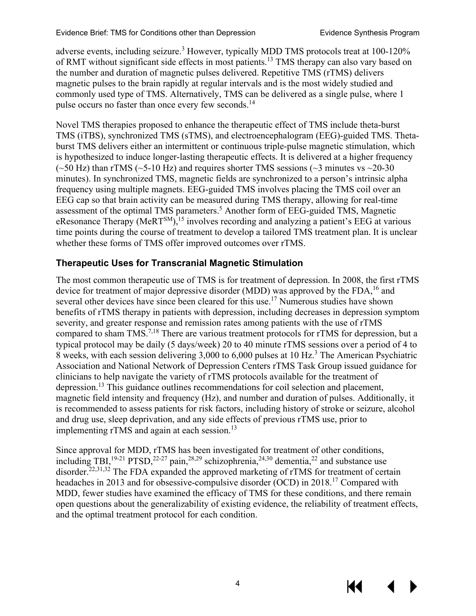adverse events, including seizure.<sup>3</sup> However, typically MDD TMS protocols treat at 100-120% of RMT without significant side effects in most patients.<sup>[13](#page-28-13)</sup> TMS therapy can also vary based on the number and duration of magnetic pulses delivered. Repetitive TMS (rTMS) delivers magnetic pulses to the brain rapidly at regular intervals and is the most widely studied and commonly used type of TMS. Alternatively, TMS can be delivered as a single pulse, where 1 pulse occurs no faster than once every few seconds.<sup>[14](#page-28-14)</sup>

Novel TMS therapies proposed to enhance the therapeutic effect of TMS include theta-burst TMS (iTBS), synchronized TMS (sTMS), and electroencephalogram (EEG)-guided TMS. Thetaburst TMS delivers either an intermittent or continuous triple-pulse magnetic stimulation, which is hypothesized to induce longer-lasting therapeutic effects. It is delivered at a higher frequency ( $\sim$ 50 Hz) than rTMS ( $\sim$ 5-10 Hz) and requires shorter TMS sessions ( $\sim$ 3 minutes vs  $\sim$ 20-30 minutes). In synchronized TMS, magnetic fields are synchronized to a person's intrinsic alpha frequency using multiple magnets. EEG-guided TMS involves placing the TMS coil over an EEG cap so that brain activity can be measured during TMS therapy, allowing for real-time assessment of the optimal TMS parameters.<sup>[5](#page-28-5)</sup> Another form of EEG-guided TMS, Magnetic eResonance Therapy (MeRT<sup>SM</sup>),<sup>[15](#page-28-15)</sup> involves recording and analyzing a patient's EEG at various time points during the course of treatment to develop a tailored TMS treatment plan. It is unclear whether these forms of TMS offer improved outcomes over rTMS.

#### **Therapeutic Uses for Transcranial Magnetic Stimulation**

The most common therapeutic use of TMS is for treatment of depression. In 2008, the first rTMS device for treatment of major depressive disorder (MDD) was approved by the FDA,<sup>[16](#page-28-16)</sup> and several other devices have since been cleared for this use.<sup>[17](#page-28-17)</sup> Numerous studies have shown benefits of rTMS therapy in patients with depression, including decreases in depression symptom severity, and greater response and remission rates among patients with the use of rTMS compared to sham TMS.<sup>[7,](#page-28-7)[18](#page-29-0)</sup> There are various treatment protocols for rTMS for depression, but a typical protocol may be daily (5 days/week) 20 to 40 minute rTMS sessions over a period of 4 to 8 weeks, with each session delivering [3](#page-28-3),000 to 6,000 pulses at 10 Hz.<sup>3</sup> The American Psychiatric Association and National Network of Depression Centers rTMS Task Group issued guidance for clinicians to help navigate the variety of rTMS protocols available for the treatment of depression[.13](#page-28-13) This guidance outlines recommendations for coil selection and placement, magnetic field intensity and frequency (Hz), and number and duration of pulses. Additionally, it is recommended to assess patients for risk factors, including history of stroke or seizure, alcohol and drug use, sleep deprivation, and any side effects of previous rTMS use, prior to implementing rTMS and again at each session.<sup>[13](#page-28-13)</sup>

Since approval for MDD, rTMS has been investigated for treatment of other conditions, including TBI, <sup>[19-21](#page-29-1)</sup> PTSD, <sup>[22-27](#page-29-2)</sup> pain, <sup>28[,29](#page-29-4)</sup> schizophrenia, <sup>24,[30](#page-29-6)</sup> dementia, <sup>22</sup> and substance use disorder.<sup>22,[31,](#page-29-7)[32](#page-29-8)</sup> The FDA expanded the approved marketing of rTMS for treatment of certain headaches in 2013 and for obsessive-compulsive disorder (OCD) in 2018[.17](#page-28-17) Compared with MDD, fewer studies have examined the efficacy of TMS for these conditions, and there remain open questions about the generalizability of existing evidence, the reliability of treatment effects, and the optimal treatment protocol for each condition.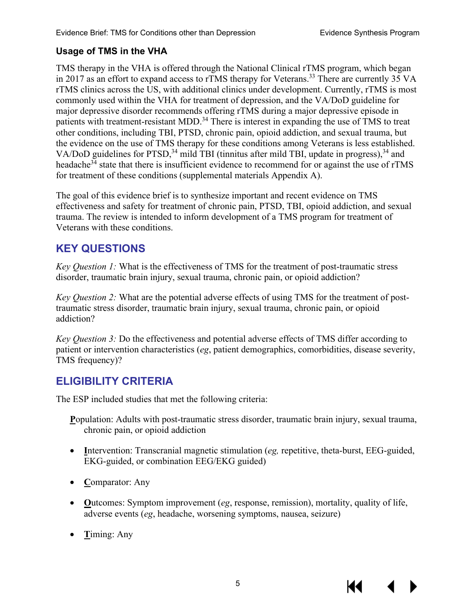#### **Usage of TMS in the VHA**

TMS therapy in the VHA is offered through the National Clinical rTMS program, which began in 2017 as an effort to expand access to rTMS therapy for Veterans.<sup>[33](#page-29-9)</sup> There are currently 35 VA rTMS clinics across the US, with additional clinics under development. Currently, rTMS is most commonly used within the VHA for treatment of depression, and the VA/DoD guideline for major depressive disorder recommends offering rTMS during a major depressive episode in patients with treatment-resistant MDD.<sup>[34](#page-30-0)</sup> There is interest in expanding the use of TMS to treat other conditions, including TBI, PTSD, chronic pain, opioid addiction, and sexual trauma, but the evidence on the use of TMS therapy for these conditions among Veterans is less established. VA/DoD guidelines for PTSD,<sup>[34](#page-30-0)</sup> mild TBI (tinnitus after mild TBI, update in progress),<sup>34</sup> and headache<sup>34</sup> state that there is insufficient evidence to recommend for or against the use of rTMS for treatment of these conditions (supplemental materials Appendix A).

The goal of this evidence brief is to synthesize important and recent evidence on TMS effectiveness and safety for treatment of chronic pain, PTSD, TBI, opioid addiction, and sexual trauma. The review is intended to inform development of a TMS program for treatment of Veterans with these conditions.

## <span id="page-7-0"></span>**KEY QUESTIONS**

*Key Question 1:* What is the effectiveness of TMS for the treatment of post-traumatic stress disorder, traumatic brain injury, sexual trauma, chronic pain, or opioid addiction?

*Key Question 2:* What are the potential adverse effects of using TMS for the treatment of posttraumatic stress disorder, traumatic brain injury, sexual trauma, chronic pain, or opioid addiction?

*Key Question 3:* Do the effectiveness and potential adverse effects of TMS differ according to patient or intervention characteristics (*eg*, patient demographics, comorbidities, disease severity, TMS frequency)?

## <span id="page-7-1"></span>**ELIGIBILITY CRITERIA**

The ESP included studies that met the following criteria:

**P**opulation: Adults with post-traumatic stress disorder, traumatic brain injury, sexual trauma, chronic pain, or opioid addiction

- **I**ntervention: Transcranial magnetic stimulation (*eg,* repetitive, theta-burst, EEG-guided, EKG-guided, or combination EEG/EKG guided)
- **C**omparator: Any
- **O**utcomes: Symptom improvement (*eg*, response, remission), mortality, quality of life, adverse events (*eg*, headache, worsening symptoms, nausea, seizure)
- **T**iming: Any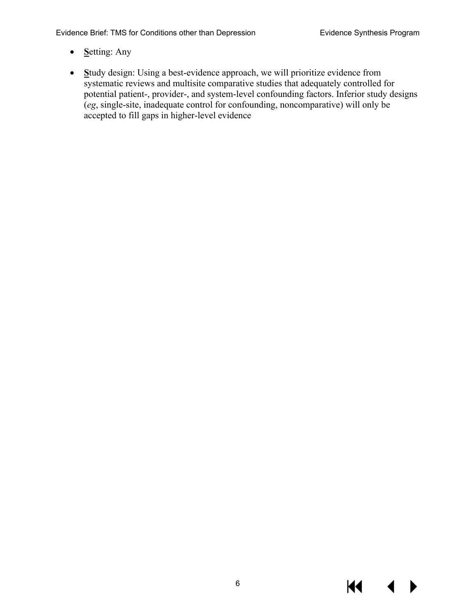Evidence Brief: TMS for Conditions other than Depression **Evidence Synthesis Program** 

- **S**etting: Any
- **S**tudy design: Using a best-evidence approach, we will prioritize evidence from systematic reviews and multisite comparative studies that adequately controlled for potential patient-, provider-, and system-level confounding factors. Inferior study designs (*eg*, single-site, inadequate control for confounding, noncomparative) will only be accepted to fill gaps in higher-level evidence

KI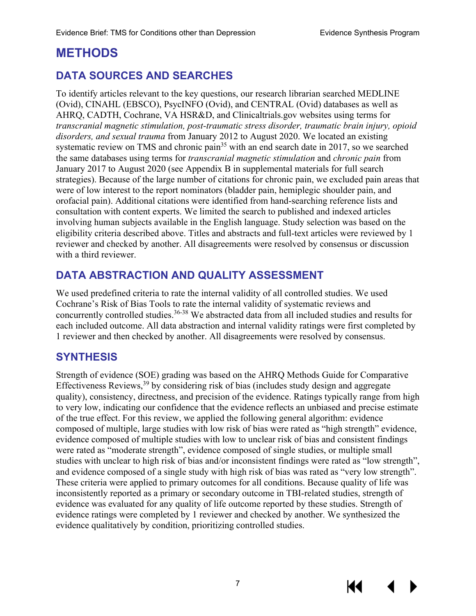## <span id="page-9-0"></span>**METHODS**

## **DATA SOURCES AND SEARCHES**

To identify articles relevant to the key questions, our research librarian searched MEDLINE (Ovid), CINAHL (EBSCO), PsycINFO (Ovid), and CENTRAL (Ovid) databases as well as AHRQ, CADTH, Cochrane, VA HSR&D, and Clinicaltrials.gov websites using terms for *transcranial magnetic stimulation, post-traumatic stress disorder, traumatic brain injury, opioid disorders, and sexual trauma* from January 2012 to August 2020. We located an existing systematic review on TMS and chronic pain<sup>35</sup> with an end search date in 2017, so we searched the same databases using terms for *transcranial magnetic stimulation* and *chronic pain* from January 2017 to August 2020 (see Appendix B in supplemental materials for full search strategies). Because of the large number of citations for chronic pain, we excluded pain areas that were of low interest to the report nominators (bladder pain, hemiplegic shoulder pain, and orofacial pain). Additional citations were identified from hand-searching reference lists and consultation with content experts. We limited the search to published and indexed articles involving human subjects available in the English language. Study selection was based on the eligibility criteria described above. Titles and abstracts and full-text articles were reviewed by 1 reviewer and checked by another. All disagreements were resolved by consensus or discussion with a third reviewer.

## **DATA ABSTRACTION AND QUALITY ASSESSMENT**

We used predefined criteria to rate the internal validity of all controlled studies. We used Cochrane's Risk of Bias Tools to rate the internal validity of systematic reviews and concurrently controlled studies. [36-38](#page-30-2) We abstracted data from all included studies and results for each included outcome. All data abstraction and internal validity ratings were first completed by 1 reviewer and then checked by another. All disagreements were resolved by consensus.

#### **SYNTHESIS**

Strength of evidence (SOE) grading was based on the AHRQ Methods Guide for Comparative Effectiveness Reviews,  $39$  by considering risk of bias (includes study design and aggregate quality), consistency, directness, and precision of the evidence. Ratings typically range from high to very low, indicating our confidence that the evidence reflects an unbiased and precise estimate of the true effect. For this review, we applied the following general algorithm: evidence composed of multiple, large studies with low risk of bias were rated as "high strength" evidence, evidence composed of multiple studies with low to unclear risk of bias and consistent findings were rated as "moderate strength", evidence composed of single studies, or multiple small studies with unclear to high risk of bias and/or inconsistent findings were rated as "low strength", and evidence composed of a single study with high risk of bias was rated as "very low strength". These criteria were applied to primary outcomes for all conditions. Because quality of life was inconsistently reported as a primary or secondary outcome in TBI-related studies, strength of evidence was evaluated for any quality of life outcome reported by these studies. Strength of evidence ratings were completed by 1 reviewer and checked by another. We synthesized the evidence qualitatively by condition, prioritizing controlled studies.

KI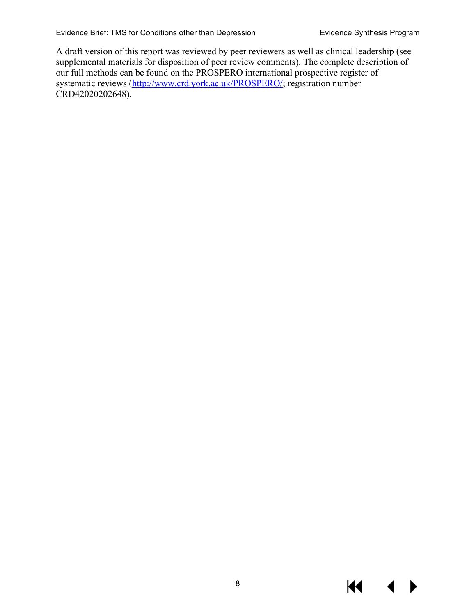A draft version of this report was reviewed by peer reviewers as well as clinical leadership (see supplemental materials for disposition of peer review comments). The complete description of our full methods can be found on the PROSPERO international prospective register of systematic reviews [\(http://www.crd.york.ac.uk/PROSPERO/;](http://www.crd.york.ac.uk/PROSPERO/) registration number CRD42020202648).

КI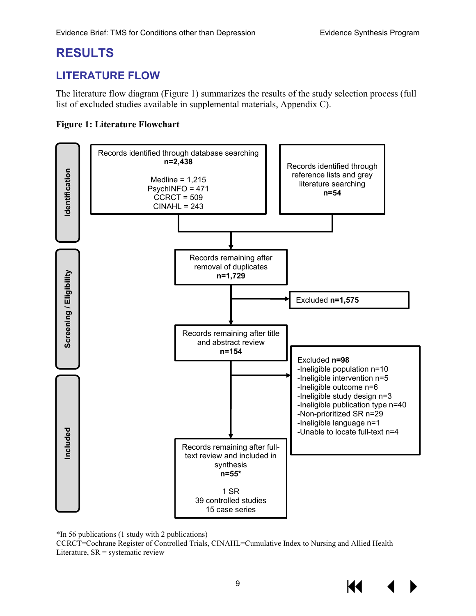## <span id="page-11-0"></span>**RESULTS**

## <span id="page-11-1"></span>**LITERATURE FLOW**

The literature flow diagram (Figure 1) summarizes the results of the study selection process (full list of excluded studies available in supplemental materials, Appendix C).

#### <span id="page-11-2"></span>**Figure 1: Literature Flowchart**



\*In 56 publications (1 study with 2 publications)

CCRCT=Cochrane Register of Controlled Trials, CINAHL=Cumulative Index to Nursing and Allied Health Literature,  $SR =$  systematic review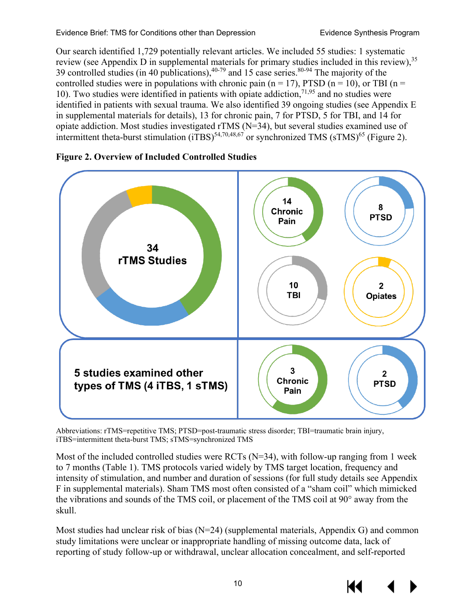Our search identified 1,729 potentially relevant articles. We included 55 studies: 1 systematic review (see Appendix D in supplemental materials for primary studies included in this review),<sup>35</sup> 39 controlled studies (in 40 publications),  $40^{-79}$  and 15 case series.  $80^{-94}$  The majority of the controlled studies were in populations with chronic pain (n = 17), PTSD (n = 10), or TBI (n = 10). Two studies were identified in patients with opiate addiction,  $71,95$  $71,95$  and no studies were identified in patients with sexual trauma. We also identified 39 ongoing studies (see Appendix E in supplemental materials for details), 13 for chronic pain, 7 for PTSD, 5 for TBI, and 14 for opiate addiction. Most studies investigated rTMS (N=34), but several studies examined use of intermittent theta-burst stimulation  $(iTBS)^{54,70,48,67}$  $(iTBS)^{54,70,48,67}$  $(iTBS)^{54,70,48,67}$  $(iTBS)^{54,70,48,67}$  $(iTBS)^{54,70,48,67}$  or synchronized TMS  $(sTMS)^{65}$  (Figure 2).



<span id="page-12-0"></span>

Abbreviations: rTMS=repetitive TMS; PTSD=post-traumatic stress disorder; TBI=traumatic brain injury, iTBS=intermittent theta-burst TMS; sTMS=synchronized TMS

Most of the included controlled studies were RCTs (N=34), with follow-up ranging from 1 week to 7 months (Table 1). TMS protocols varied widely by TMS target location, frequency and intensity of stimulation, and number and duration of sessions (for full study details see Appendix F in supplemental materials). Sham TMS most often consisted of a "sham coil" which mimicked the vibrations and sounds of the TMS coil, or placement of the TMS coil at 90° away from the skull.

Most studies had unclear risk of bias (N=24) (supplemental materials, Appendix G) and common study limitations were unclear or inappropriate handling of missing outcome data, lack of reporting of study follow-up or withdrawal, unclear allocation concealment, and self-reported

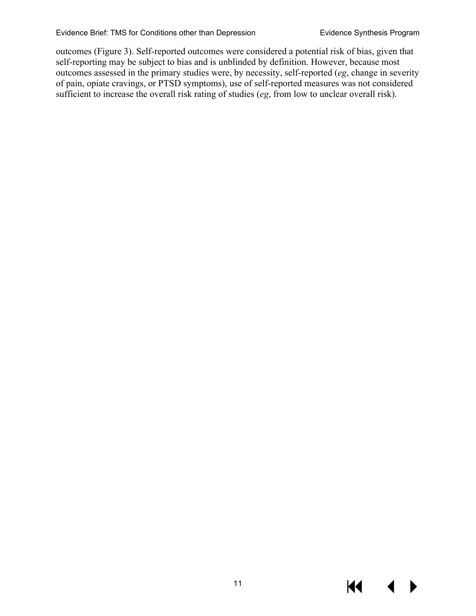outcomes (Figure 3). Self-reported outcomes were considered a potential risk of bias, given that self-reporting may be subject to bias and is unblinded by definition. However, because most outcomes assessed in the primary studies were, by necessity, self-reported (*eg*, change in severity of pain, opiate cravings, or PTSD symptoms), use of self-reported measures was not considered sufficient to increase the overall risk rating of studies (*eg*, from low to unclear overall risk).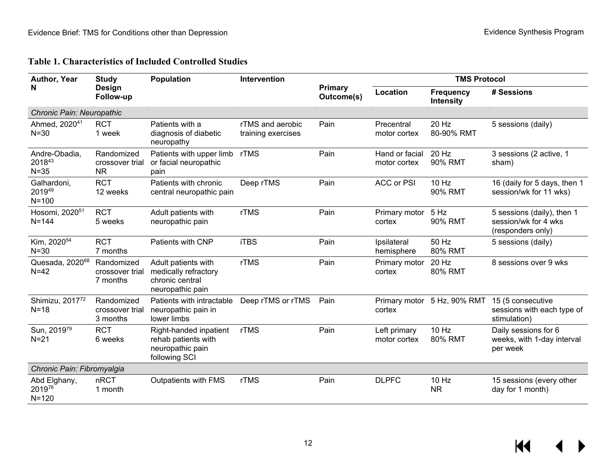<span id="page-14-0"></span>

| Author, Year                            | <b>Study</b>                               | <b>Population</b>                                                                  | Intervention                           |                       | <b>TMS Protocol</b>            |                                      |                                                                         |
|-----------------------------------------|--------------------------------------------|------------------------------------------------------------------------------------|----------------------------------------|-----------------------|--------------------------------|--------------------------------------|-------------------------------------------------------------------------|
| N                                       | Design<br>Follow-up                        |                                                                                    |                                        | Primary<br>Outcome(s) | Location                       | <b>Frequency</b><br><b>Intensity</b> | # Sessions                                                              |
| Chronic Pain: Neuropathic               |                                            |                                                                                    |                                        |                       |                                |                                      |                                                                         |
| Ahmed, 2020 <sup>41</sup><br>$N = 30$   | <b>RCT</b><br>1 week                       | Patients with a<br>diagnosis of diabetic<br>neuropathy                             | rTMS and aerobic<br>training exercises | Pain                  | Precentral<br>motor cortex     | 20 Hz<br>80-90% RMT                  | 5 sessions (daily)                                                      |
| Andre-Obadia,<br>201843<br>$N = 35$     | Randomized<br>crossover trial<br><b>NR</b> | Patients with upper limb<br>or facial neuropathic<br>pain                          | rTMS                                   | Pain                  | Hand or facial<br>motor cortex | 20 Hz<br>90% RMT                     | 3 sessions (2 active, 1<br>sham)                                        |
| Galhardoni,<br>201949<br>$N = 100$      | <b>RCT</b><br>12 weeks                     | Patients with chronic<br>central neuropathic pain                                  | Deep rTMS                              | Pain                  | <b>ACC or PSI</b>              | 10 Hz<br>90% RMT                     | 16 (daily for 5 days, then 1<br>session/wk for 11 wks)                  |
| Hosomi, 2020 <sup>51</sup><br>$N = 144$ | <b>RCT</b><br>5 weeks                      | Adult patients with<br>neuropathic pain                                            | <b>rTMS</b>                            | Pain                  | Primary motor<br>cortex        | 5 Hz<br>90% RMT                      | 5 sessions (daily), then 1<br>session/wk for 4 wks<br>(responders only) |
| Kim, 2020 <sup>54</sup><br>$N = 30$     | <b>RCT</b><br>7 months                     | Patients with CNP                                                                  | <b>iTBS</b>                            | Pain                  | Ipsilateral<br>hemisphere      | 50 Hz<br>80% RMT                     | 5 sessions (daily)                                                      |
| Quesada, 2020 <sup>68</sup><br>$N=42$   | Randomized<br>crossover trial<br>7 months  | Adult patients with<br>medically refractory<br>chronic central<br>neuropathic pain | rTMS                                   | Pain                  | Primary motor<br>cortex        | 20 Hz<br><b>80% RMT</b>              | 8 sessions over 9 wks                                                   |
| Shimizu, 201772<br>$N=18$               | Randomized<br>crossover trial<br>3 months  | Patients with intractable<br>neuropathic pain in<br>lower limbs                    | Deep rTMS or rTMS                      | Pain                  | cortex                         | Primary motor 5 Hz, 90% RMT          | 15 (5 consecutive<br>sessions with each type of<br>stimulation)         |
| Sun, 201979<br>$N = 21$                 | <b>RCT</b><br>6 weeks                      | Right-handed inpatient<br>rehab patients with<br>neuropathic pain<br>following SCI | <b>rTMS</b>                            | Pain                  | Left primary<br>motor cortex   | 10 Hz<br>80% RMT                     | Daily sessions for 6<br>weeks, with 1-day interval<br>per week          |
| Chronic Pain: Fibromyalgia              |                                            |                                                                                    |                                        |                       |                                |                                      |                                                                         |
| Abd Elghany,<br>201976<br>$N = 120$     | nRCT<br>1 month                            | Outpatients with FMS                                                               | <b>rTMS</b>                            | Pain                  | <b>DLPFC</b>                   | 10 Hz<br><b>NR</b>                   | 15 sessions (every other<br>day for 1 month)                            |

#### **Table 1. Characteristics of Included Controlled Studies**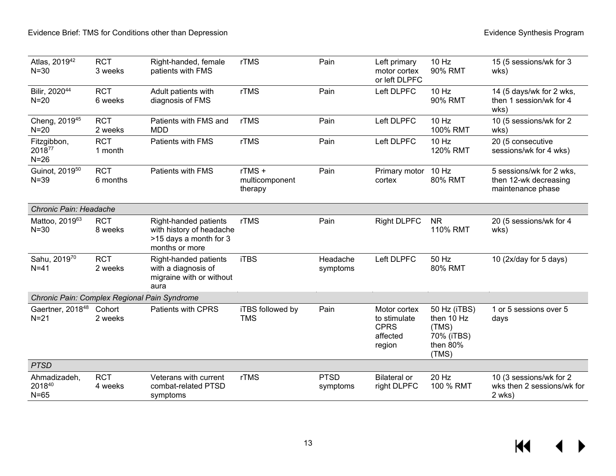| Atlas, 201942<br>$N = 30$                    | <b>RCT</b><br>3 weeks  | Right-handed, female<br>patients with FMS                                                     | <b>rTMS</b>                        | Pain                    | Left primary<br>motor cortex<br>or left DLPFC                     | 10 Hz<br>90% RMT                                                       | 15 (5 sessions/wk for 3<br>wks)                                        |
|----------------------------------------------|------------------------|-----------------------------------------------------------------------------------------------|------------------------------------|-------------------------|-------------------------------------------------------------------|------------------------------------------------------------------------|------------------------------------------------------------------------|
| Bilir, 202044<br>$N=20$                      | <b>RCT</b><br>6 weeks  | Adult patients with<br>diagnosis of FMS                                                       | <b>rTMS</b>                        | Pain                    | Left DLPFC                                                        | 10 Hz<br>90% RMT                                                       | 14 (5 days/wk for 2 wks,<br>then 1 session/wk for 4<br>wks)            |
| Cheng, 2019 <sup>45</sup><br>$N=20$          | <b>RCT</b><br>2 weeks  | Patients with FMS and<br><b>MDD</b>                                                           | rTMS                               | Pain                    | Left DLPFC                                                        | 10 Hz<br>100% RMT                                                      | 10 (5 sessions/wk for 2<br>wks)                                        |
| Fitzgibbon,<br>201877<br>$N=26$              | <b>RCT</b><br>1 month  | Patients with FMS                                                                             | <b>rTMS</b>                        | Pain                    | Left DLPFC                                                        | 10 Hz<br>120% RMT                                                      | 20 (5 consecutive<br>sessions/wk for 4 wks)                            |
| Guinot, 2019 <sup>50</sup><br>$N = 39$       | <b>RCT</b><br>6 months | Patients with FMS                                                                             | rTMS+<br>multicomponent<br>therapy | Pain                    | Primary motor<br>cortex                                           | 10 Hz<br><b>80% RMT</b>                                                | 5 sessions/wk for 2 wks,<br>then 12-wk decreasing<br>maintenance phase |
| Chronic Pain: Headache                       |                        |                                                                                               |                                    |                         |                                                                   |                                                                        |                                                                        |
| Mattoo, 201963<br>$N = 30$                   | <b>RCT</b><br>8 weeks  | Right-handed patients<br>with history of headache<br>>15 days a month for 3<br>months or more | <b>rTMS</b>                        | Pain                    | <b>Right DLPFC</b>                                                | <b>NR</b><br>110% RMT                                                  | 20 (5 sessions/wk for 4<br>wks)                                        |
| Sahu, 201970<br>$N=41$                       | <b>RCT</b><br>2 weeks  | Right-handed patients<br>with a diagnosis of<br>migraine with or without<br>aura              | <b>iTBS</b>                        | Headache<br>symptoms    | Left DLPFC                                                        | 50 Hz<br>80% RMT                                                       | 10 (2x/day for 5 days)                                                 |
| Chronic Pain: Complex Regional Pain Syndrome |                        |                                                                                               |                                    |                         |                                                                   |                                                                        |                                                                        |
| Gaertner, 2018 <sup>48</sup><br>$N = 21$     | Cohort<br>2 weeks      | <b>Patients with CPRS</b>                                                                     | iTBS followed by<br><b>TMS</b>     | Pain                    | Motor cortex<br>to stimulate<br><b>CPRS</b><br>affected<br>region | 50 Hz (iTBS)<br>then 10 Hz<br>(TMS)<br>70% (iTBS)<br>then 80%<br>(TMS) | 1 or 5 sessions over 5<br>days                                         |
| <b>PTSD</b>                                  |                        |                                                                                               |                                    |                         |                                                                   |                                                                        |                                                                        |
| Ahmadizadeh,<br>201840<br>$N=65$             | <b>RCT</b><br>4 weeks  | Veterans with current<br>combat-related PTSD<br>symptoms                                      | <b>rTMS</b>                        | <b>PTSD</b><br>symptoms | <b>Bilateral or</b><br>right DLPFC                                | 20 Hz<br>100 % RMT                                                     | 10 (3 sessions/wk for 2<br>wks then 2 sessions/wk for<br>2 wks)        |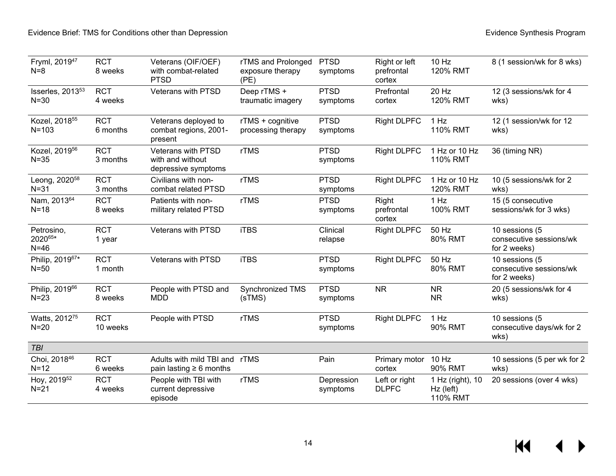| Fryml, 2019 <sup>47</sup><br>$N=8$     | <b>RCT</b><br>8 weeks  | Veterans (OIF/OEF)<br>with combat-related<br><b>PTSD</b>             | rTMS and Prolonged<br>exposure therapy<br>(PE) | <b>PTSD</b><br>symptoms | Right or left<br>prefrontal<br>cortex | 10 Hz<br>120% RMT                         | 8 (1 session/wk for 8 wks)                                |
|----------------------------------------|------------------------|----------------------------------------------------------------------|------------------------------------------------|-------------------------|---------------------------------------|-------------------------------------------|-----------------------------------------------------------|
| Isserles, 2013 <sup>53</sup><br>$N=30$ | <b>RCT</b><br>4 weeks  | Veterans with PTSD                                                   | Deep rTMS +<br>traumatic imagery               | <b>PTSD</b><br>symptoms | Prefrontal<br>cortex                  | 20 Hz<br>120% RMT                         | 12 (3 sessions/wk for 4<br>wks)                           |
| Kozel, 2018 <sup>55</sup><br>$N = 103$ | <b>RCT</b><br>6 months | Veterans deployed to<br>combat regions, 2001-<br>present             | rTMS + cognitive<br>processing therapy         | <b>PTSD</b><br>symptoms | <b>Right DLPFC</b>                    | 1 Hz<br>110% RMT                          | 12 (1 session/wk for 12<br>wks)                           |
| Kozel, 2019 <sup>56</sup><br>$N = 35$  | <b>RCT</b><br>3 months | <b>Veterans with PTSD</b><br>with and without<br>depressive symptoms | rTMS                                           | <b>PTSD</b><br>symptoms | <b>Right DLPFC</b>                    | 1 Hz or 10 Hz<br>110% RMT                 | 36 (timing NR)                                            |
| Leong, 2020 <sup>58</sup><br>$N = 31$  | <b>RCT</b><br>3 months | Civilians with non-<br>combat related PTSD                           | rTMS                                           | <b>PTSD</b><br>symptoms | <b>Right DLPFC</b>                    | 1 Hz or 10 Hz<br>120% RMT                 | 10 (5 sessions/wk for 2<br>wks)                           |
| Nam, 201364<br>$N=18$                  | <b>RCT</b><br>8 weeks  | Patients with non-<br>military related PTSD                          | rTMS                                           | <b>PTSD</b><br>symptoms | Right<br>prefrontal<br>cortex         | 1 Hz<br>100% RMT                          | 15 (5 consecutive<br>sessions/wk for 3 wks)               |
| Petrosino,<br>202065*<br>$N=46$        | <b>RCT</b><br>1 year   | <b>Veterans with PTSD</b>                                            | <b>iTBS</b>                                    | Clinical<br>relapse     | <b>Right DLPFC</b>                    | 50 Hz<br>80% RMT                          | 10 sessions (5<br>consecutive sessions/wk<br>for 2 weeks) |
| Philip, 201967*<br>$N=50$              | <b>RCT</b><br>1 month  | Veterans with PTSD                                                   | <b>iTBS</b>                                    | <b>PTSD</b><br>symptoms | <b>Right DLPFC</b>                    | 50 Hz<br>80% RMT                          | 10 sessions (5<br>consecutive sessions/wk<br>for 2 weeks) |
| Philip, 201966<br>$N=23$               | <b>RCT</b><br>8 weeks  | People with PTSD and<br><b>MDD</b>                                   | Synchronized TMS<br>(sTMS)                     | <b>PTSD</b><br>symptoms | <b>NR</b>                             | <b>NR</b><br><b>NR</b>                    | 20 (5 sessions/wk for 4<br>wks)                           |
| Watts, 201275<br>$N=20$                | <b>RCT</b><br>10 weeks | People with PTSD                                                     | rTMS                                           | <b>PTSD</b><br>symptoms | <b>Right DLPFC</b>                    | 1 Hz<br>90% RMT                           | 10 sessions (5<br>consecutive days/wk for 2<br>wks)       |
| <b>TBI</b>                             |                        |                                                                      |                                                |                         |                                       |                                           |                                                           |
| Choi, 201846<br>$N=12$                 | <b>RCT</b><br>6 weeks  | Adults with mild TBI and rTMS<br>pain lasting $\geq 6$ months        |                                                | Pain                    | Primary motor<br>cortex               | 10 Hz<br>90% RMT                          | 10 sessions (5 per wk for 2<br>wks)                       |
| Hoy, 2019 <sup>52</sup><br>$N=21$      | <b>RCT</b><br>4 weeks  | People with TBI with<br>current depressive<br>episode                | rTMS                                           | Depression<br>symptoms  | Left or right<br><b>DLPFC</b>         | 1 Hz (right), 10<br>Hz (left)<br>110% RMT | 20 sessions (over 4 wks)                                  |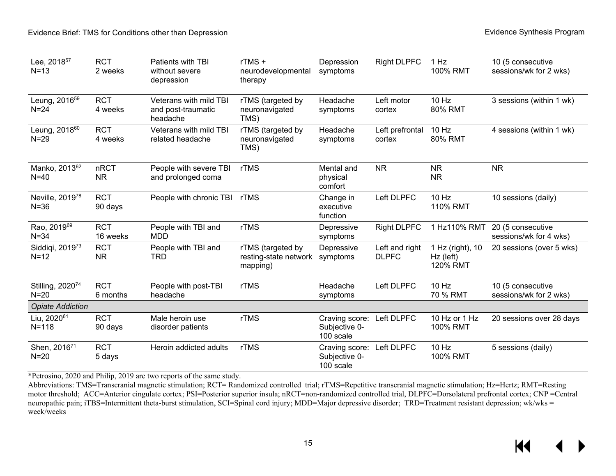| Lee, 2018 <sup>57</sup><br>$N=13$     | <b>RCT</b><br>2 weeks   | Patients with TBI<br>without severe<br>depression        | rTMS+<br>neurodevelopmental<br>therapy                 | Depression<br>symptoms                       | <b>Right DLPFC</b>             | 1 Hz<br>100% RMT                          | 10 (5 consecutive<br>sessions/wk for 2 wks) |
|---------------------------------------|-------------------------|----------------------------------------------------------|--------------------------------------------------------|----------------------------------------------|--------------------------------|-------------------------------------------|---------------------------------------------|
| Leung, 2016 <sup>59</sup><br>$N = 24$ | <b>RCT</b><br>4 weeks   | Veterans with mild TBI<br>and post-traumatic<br>headache | rTMS (targeted by<br>neuronavigated<br>TMS)            | Headache<br>symptoms                         | Left motor<br>cortex           | $10$ Hz<br>80% RMT                        | 3 sessions (within 1 wk)                    |
| Leung, 2018 <sup>60</sup><br>$N=29$   | <b>RCT</b><br>4 weeks   | Veterans with mild TBI<br>related headache               | rTMS (targeted by<br>neuronavigated<br>TMS)            | Headache<br>symptoms                         | Left prefrontal<br>cortex      | 10 Hz<br>80% RMT                          | 4 sessions (within 1 wk)                    |
| Manko, 201362<br>$N=40$               | nRCT<br><b>NR</b>       | People with severe TBI<br>and prolonged coma             | rTMS                                                   | Mental and<br>physical<br>comfort            | <b>NR</b>                      | <b>NR</b><br><b>NR</b>                    | <b>NR</b>                                   |
| Neville, 201978<br>$N = 36$           | <b>RCT</b><br>90 days   | People with chronic TBI                                  | rTMS                                                   | Change in<br>executive<br>function           | Left DLPFC                     | 10 Hz<br>110% RMT                         | 10 sessions (daily)                         |
| Rao, 201969<br>$N = 34$               | <b>RCT</b><br>16 weeks  | People with TBI and<br><b>MDD</b>                        | rTMS                                                   | Depressive<br>symptoms                       | <b>Right DLPFC</b>             | 1 Hz110% RMT                              | 20 (5 consecutive<br>sessions/wk for 4 wks) |
| Siddiqi, 2019 <sup>73</sup><br>$N=12$ | <b>RCT</b><br><b>NR</b> | People with TBI and<br>TRD                               | rTMS (targeted by<br>resting-state network<br>mapping) | Depressive<br>symptoms                       | Left and right<br><b>DLPFC</b> | 1 Hz (right), 10<br>Hz (left)<br>120% RMT | 20 sessions (over 5 wks)                    |
| Stilling, 202074<br>$N=20$            | <b>RCT</b><br>6 months  | People with post-TBI<br>headache                         | <b>rTMS</b>                                            | Headache<br>symptoms                         | Left DLPFC                     | 10 Hz<br>70 % RMT                         | 10 (5 consecutive<br>sessions/wk for 2 wks) |
| <b>Opiate Addiction</b>               |                         |                                                          |                                                        |                                              |                                |                                           |                                             |
| Liu, 2020 <sup>61</sup><br>$N = 118$  | <b>RCT</b><br>90 days   | Male heroin use<br>disorder patients                     | rTMS                                                   | Craving score:<br>Subjective 0-<br>100 scale | Left DLPFC                     | 10 Hz or 1 Hz<br>100% RMT                 | 20 sessions over 28 days                    |
| Shen, 201671<br>$N=20$                | <b>RCT</b><br>5 days    | Heroin addicted adults                                   | rTMS                                                   | Craving score:<br>Subjective 0-<br>100 scale | Left DLPFC                     | 10 Hz<br>100% RMT                         | 5 sessions (daily)                          |

\*Petrosino, 2020 and Philip, 2019 are two reports of the same study.

Abbreviations: TMS=Transcranial magnetic stimulation; RCT= Randomized controlled trial; rTMS=Repetitive transcranial magnetic stimulation; Hz=Hertz; RMT=Resting motor threshold; ACC=Anterior cingulate cortex; PSI=Posterior superior insula; nRCT=non-randomized controlled trial, DLPFC=Dorsolateral prefrontal cortex; CNP =Central neuropathic pain; iTBS=Intermittent theta-burst stimulation, SCI=Spinal cord injury; MDD=Major depressive disorder; TRD=Treatment resistant depression; wk/wks = week/weeks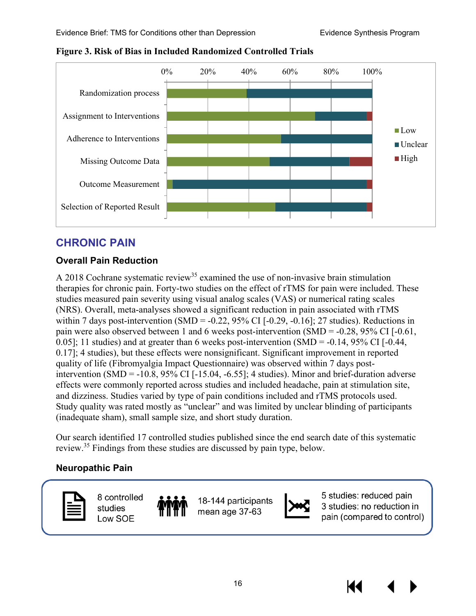

<span id="page-18-3"></span>**Figure 3. Risk of Bias in Included Randomized Controlled Trials**

## <span id="page-18-0"></span>**CHRONIC PAIN**

#### <span id="page-18-1"></span>**Overall Pain Reduction**

A 2018 Cochrane systematic review<sup>35</sup> examined the use of non-invasive brain stimulation therapies for chronic pain. Forty-two studies on the effect of rTMS for pain were included. These studies measured pain severity using visual analog scales (VAS) or numerical rating scales (NRS). Overall, meta-analyses showed a significant reduction in pain associated with rTMS within 7 days post-intervention (SMD =  $-0.22$ , 95% CI  $[-0.29, -0.16]$ ; 27 studies). Reductions in pain were also observed between 1 and 6 weeks post-intervention (SMD = -0.28, 95% CI [-0.61, 0.05]; 11 studies) and at greater than 6 weeks post-intervention (SMD =  $-0.14$ , 95% CI [ $-0.44$ , 0.17]; 4 studies), but these effects were nonsignificant. Significant improvement in reported quality of life (Fibromyalgia Impact Questionnaire) was observed within 7 days postintervention  $(SMD = -10.8, 95\% \text{ CI}$  [-15.04, -6.55]; 4 studies). Minor and brief-duration adverse effects were commonly reported across studies and included headache, pain at stimulation site, and dizziness. Studies varied by type of pain conditions included and rTMS protocols used. Study quality was rated mostly as "unclear" and was limited by unclear blinding of participants (inadequate sham), small sample size, and short study duration.

Our search identified 17 controlled studies published since the end search date of this systematic review[.35](#page-30-1) Findings from these studies are discussed by pain type, below.

#### <span id="page-18-2"></span>**Neuropathic Pain**



8 controlled studies Low SOE

18-144 participants mean age 37-63



5 studies: reduced pain 3 studies: no reduction in pain (compared to control)

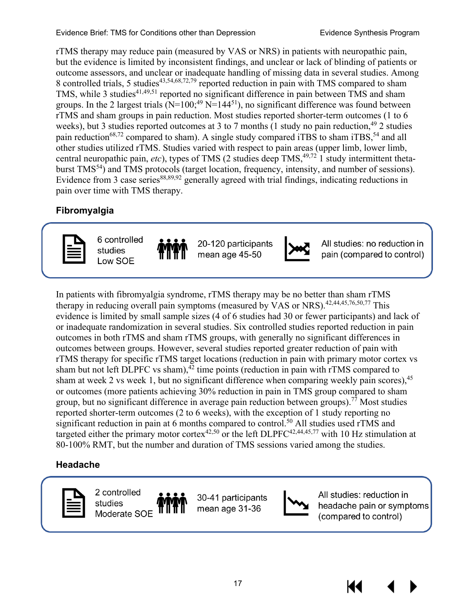rTMS therapy may reduce pain (measured by VAS or NRS) in patients with neuropathic pain, but the evidence is limited by inconsistent findings, and unclear or lack of blinding of patients or outcome assessors, and unclear or inadequate handling of missing data in several studies. Among 8 controlled trials, 5 studies<sup>[43,](#page-30-15)[54](#page-31-0)[,68](#page-32-18)[,72,](#page-32-19)79</sup> reported reduction in pain with TMS compared to sham TMS, while 3 studies<sup>41,[49,](#page-31-16)[51](#page-31-17)</sup> reported no significant difference in pain between TMS and sham groups. In the 2 largest trials ( $N=100;^{49}$   $N=144^{51}$ ), no significant difference was found between rTMS and sham groups in pain reduction. Most studies reported shorter-term outcomes (1 to 6 weeks), but 3 studies reported outcomes at 3 to 7 months (1 study no pain reduction,  $49$  2 studies pain reduction<sup>68[,72](#page-32-19)</sup> compared to sham). A single study compared iTBS to sham iTBS,<sup>54</sup> and all other studies utilized rTMS. Studies varied with respect to pain areas (upper limb, lower limb, central neuropathic pain,  $etc$ ), types of TMS (2 studies deep TMS,  $49,72$  $49,72$ ) study intermittent thetaburst TMS<sup>54</sup>) and TMS protocols (target location, frequency, intensity, and number of sessions). Evidence from 3 case series<sup>88,[89,](#page-33-5)92</sup> generally agreed with trial findings, indicating reductions in pain over time with TMS therapy.

#### <span id="page-19-0"></span>**Fibromyalgia**



6 controlled studies Low SOE

20-120 participants mean age 45-50



All studies: no reduction in pain (compared to control)

In patients with fibromyalgia syndrome, rTMS therapy may be no better than sham rTMS therapy in reducing overall pain symptoms (measured by VAS or NRS).<sup>42,[44,](#page-30-11)[45](#page-30-18)[,76](#page-32-20)[,50](#page-31-3)[,77](#page-32-21)</sup> This evidence is limited by small sample sizes (4 of 6 studies had 30 or fewer participants) and lack of or inadequate randomization in several studies. Six controlled studies reported reduction in pain outcomes in both rTMS and sham rTMS groups, with generally no significant differences in outcomes between groups. However, several studies reported greater reduction of pain with rTMS therapy for specific rTMS target locations (reduction in pain with primary motor cortex vs sham but not left DLPFC vs sham), $\frac{3}{2}$  time points (reduction in pain with rTMS compared to sham at week 2 vs week 1, but no significant difference when comparing weekly pain scores),  $45$ or outcomes (more patients achieving 30% reduction in pain in TMS group compared to sham group, but no significant difference in average pain reduction between groups).<sup>77</sup> Most studies reported shorter-term outcomes (2 to 6 weeks), with the exception of 1 study reporting no significant reduction in pain at 6 months compared to control.<sup>50</sup> All studies used rTMS and targeted either the primary motor cortex<sup>[42,](#page-30-17)[50](#page-31-3)</sup> or the left DLPFC<sup>42[,44](#page-30-11)[,45](#page-30-18)[,77](#page-32-21)</sup> with 10 Hz stimulation at 80-100% RMT, but the number and duration of TMS sessions varied among the studies.

#### <span id="page-19-1"></span>**Headache**

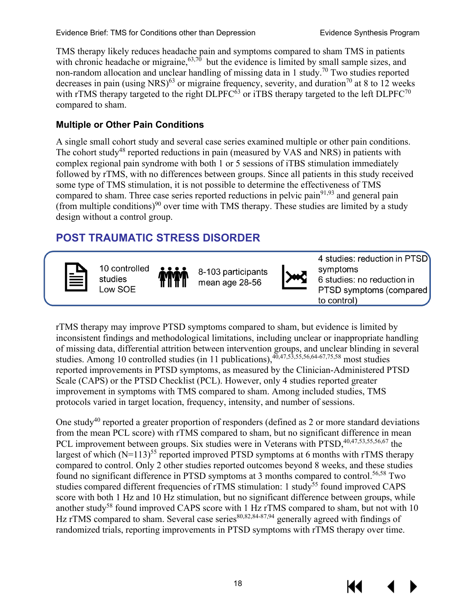TMS therapy likely reduces headache pain and symptoms compared to sham TMS in patients with chronic headache or migraine,  $63,70$  but the evidence is limited by small sample sizes, and non-random allocation and unclear handling of missing data in 1 study[.70](#page-32-1) Two studies reported decreases in pain (using NRS)<sup>63</sup> or migraine frequency, severity, and duration<sup>70</sup> at 8 to 12 weeks with rTMS therapy targeted to the right DLPFC $^{63}$  or iTBS therapy targeted to the left DLPFC<sup>70</sup> compared to sham.

#### <span id="page-20-0"></span>**Multiple or Other Pain Conditions**

A single small cohort study and several case series examined multiple or other pain conditions. The cohort study<sup>48</sup> reported reductions in pain (measured by VAS and NRS) in patients with complex regional pain syndrome with both 1 or 5 sessions of iTBS stimulation immediately followed by rTMS, with no differences between groups. Since all patients in this study received some type of TMS stimulation, it is not possible to determine the effectiveness of TMS compared to sham. Three case series reported reductions in pelvic pain<sup>[91](#page-33-7),93</sup> and general pain (from multiple conditions)<sup>[90](#page-33-8)</sup> over time with TMS therapy. These studies are limited by a study design without a control group.

## <span id="page-20-1"></span>**POST TRAUMATIC STRESS DISORDER**



10 controlled studies Low SOE

8-103 participants mean age 28-56



4 studies: reduction in PTSD symptoms 6 studies: no reduction in PTSD symptoms (compared to control)

rTMS therapy may improve PTSD symptoms compared to sham, but evidence is limited by inconsistent findings and methodological limitations, including unclear or inappropriate handling of missing data, differential attrition between intervention groups, and unclear blinding in several studies. Among 10 controlled studies (in 11 publications),  $40,47,53,55,56,64-67,75,58$  $40,47,53,55,56,64-67,75,58$  $40,47,53,55,56,64-67,75,58$  $40,47,53,55,56,64-67,75,58$  $40,47,53,55,56,64-67,75,58$  $40,47,53,55,56,64-67,75,58$  $40,47,53,55,56,64-67,75,58$  $40,47,53,55,56,64-67,75,58$  most studies reported improvements in PTSD symptoms, as measured by the Clinician-Administered PTSD Scale (CAPS) or the PTSD Checklist (PCL). However, only 4 studies reported greater improvement in symptoms with TMS compared to sham. Among included studies, TMS protocols varied in target location, frequency, intensity, and number of sessions.

One study<sup>40</sup> reported a greater proportion of responders (defined as 2 or more standard deviations from the mean PCL score) with rTMS compared to sham, but no significant difference in mean PCL improvement between groups. Six studies were in Veterans with PTSD,<sup>[40,](#page-30-4)[47,](#page-30-19)[53,](#page-31-19)[55](#page-31-20)[,56,](#page-31-21)[67](#page-32-2)</sup> the largest of which  $(N=113)^{55}$  reported improved PTSD symptoms at 6 months with rTMS therapy compared to control. Only 2 other studies reported outcomes beyond 8 weeks, and these studies found no significant difference in PTSD symptoms at 3 months compared to control.<sup>56[,58](#page-31-22)</sup> Two studies compared different frequencies of rTMS stimulation: 1 study<sup>55</sup> found improved CAPS score with both 1 Hz and 10 Hz stimulation, but no significant difference between groups, while another study<sup>[58](#page-31-22)</sup> found improved CAPS score with  $1$  Hz rTMS compared to sham, but not with  $10$ Hz rTMS compared to sham. Several case series $80,82,84-87,94$  $80,82,84-87,94$  $80,82,84-87,94$  $80,82,84-87,94$  generally agreed with findings of randomized trials, reporting improvements in PTSD symptoms with rTMS therapy over time.

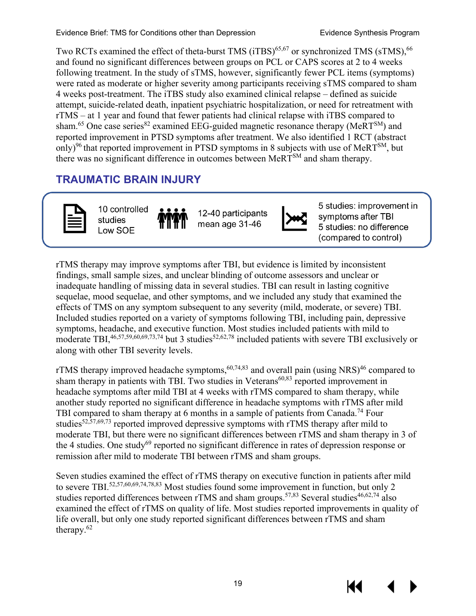Evidence Brief: TMS for Conditions other than Depression Evidence Synthesis Program

Two RCTs examined the effect of theta-burst TMS (iTBS)<sup>[65,](#page-32-3)67</sup> or synchronized TMS (sTMS),<sup>66</sup> and found no significant differences between groups on PCL or CAPS scores at 2 to 4 weeks following treatment. In the study of sTMS, however, significantly fewer PCL items (symptoms) were rated as moderate or higher severity among participants receiving sTMS compared to sham 4 weeks post-treatment. The iTBS study also examined clinical relapse – defined as suicide attempt, suicide-related death, inpatient psychiatric hospitalization, or need for retreatment with rTMS – at 1 year and found that fewer patients had clinical relapse with iTBS compared to sham.<sup>[65](#page-32-3)</sup> One case series<sup>[82](#page-33-9)</sup> examined EEG-guided magnetic resonance therapy (MeRT<sup>SM</sup>) and reported improvement in PTSD symptoms after treatment. We also identified 1 RCT (abstract only)<sup>[96](#page-34-3)</sup> that reported improvement in PTSD symptoms in 8 subjects with use of MeRT<sup>SM</sup>, but there was no significant difference in outcomes between MeRTSM and sham therapy.

## <span id="page-21-0"></span>**TRAUMATIC BRAIN INJURY**



10 controlled studies Low SOE

12-40 participants mean age 31-46



5 studies: improvement in symptoms after TBI 5 studies: no difference (compared to control)

rTMS therapy may improve symptoms after TBI, but evidence is limited by inconsistent findings, small sample sizes, and unclear blinding of outcome assessors and unclear or inadequate handling of missing data in several studies. TBI can result in lasting cognitive sequelae, mood sequelae, and other symptoms, and we included any study that examined the effects of TMS on any symptom subsequent to any severity (mild, moderate, or severe) TBI. Included studies reported on a variety of symptoms following TBI, including pain, depressive symptoms, headache, and executive function. Most studies included patients with mild to moderate TBI,  $46,57,59,60,69,73,74$  $46,57,59,60,69,73,74$  $46,57,59,60,69,73,74$  $46,57,59,60,69,73,74$  $46,57,59,60,69,73,74$  $46,57,59,60,69,73,74$  $46,57,59,60,69,73,74$  but 3 studies<sup>52,[62,](#page-31-26)[78](#page-33-11)</sup> included patients with severe TBI exclusively or along with other TBI severity levels.

rTMS therapy improved headache symptoms,  $60,74,83$  $60,74,83$  $60,74,83$  and overall pain (using NRS) $46$  compared to sham therapy in patients with TBI. Two studies in Veterans<sup>60,83</sup> reported improvement in headache symptoms after mild TBI at 4 weeks with rTMS compared to sham therapy, while another study reported no significant difference in headache symptoms with rTMS after mild TBI compared to sham therapy at 6 months in a sample of patients from Canada.<sup>74</sup> Four studies<sup>52,[57,](#page-31-23)[69,](#page-32-15)73</sup> reported improved depressive symptoms with rTMS therapy after mild to moderate TBI, but there were no significant differences between rTMS and sham therapy in 3 of the 4 studies. One study<sup>69</sup> reported no significant difference in rates of depression response or remission after mild to moderate TBI between rTMS and sham groups.

Seven studies examined the effect of rTMS therapy on executive function in patients after mild to severe TBI.<sup>52,[57,](#page-31-23)[60,](#page-31-25)[69,](#page-32-15)[74,](#page-32-26)[78,](#page-33-11)83</sup> Most studies found some improvement in function, but only 2 studies reported differences between rTMS and sham groups.<sup>57,[83](#page-33-12)</sup> Several studies<sup>46,[62](#page-31-26)[,74](#page-32-26)</sup> also examined the effect of rTMS on quality of life. Most studies reported improvements in quality of life overall, but only one study reported significant differences between rTMS and sham therapy. $62$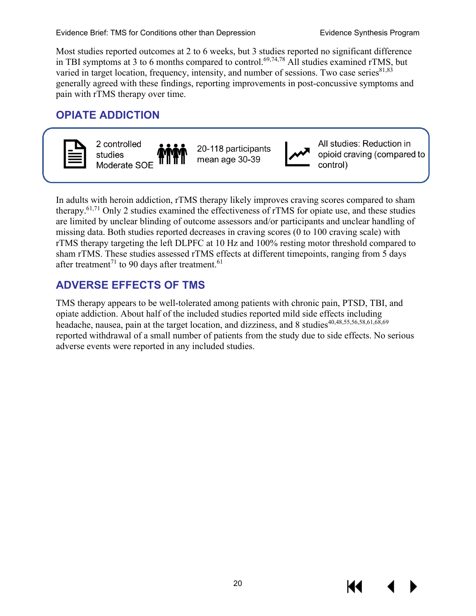Most studies reported outcomes at 2 to 6 weeks, but 3 studies reported no significant difference in TBI symptoms at 3 to 6 months compared to control.<sup>69[,74](#page-32-26)[,78](#page-33-11)</sup> All studies examined rTMS, but varied in target location, frequency, intensity, and number of sessions. Two case series $81,83$  $81,83$ generally agreed with these findings, reporting improvements in post-concussive symptoms and pain with rTMS therapy over time.

## <span id="page-22-0"></span>**OPIATE ADDICTION**



In adults with heroin addiction, rTMS therapy likely improves craving scores compared to sham therapy.<sup>61[,71](#page-32-0)</sup> Only 2 studies examined the effectiveness of rTMS for opiate use, and these studies are limited by unclear blinding of outcome assessors and/or participants and unclear handling of missing data. Both studies reported decreases in craving scores (0 to 100 craving scale) with rTMS therapy targeting the left DLPFC at 10 Hz and 100% resting motor threshold compared to sham rTMS. These studies assessed rTMS effects at different timepoints, ranging from 5 days after treatment<sup>[71](#page-32-0)</sup> to 90 days after treatment.<sup>[61](#page-31-27)</sup>

## <span id="page-22-1"></span>**ADVERSE EFFECTS OF TMS**

TMS therapy appears to be well-tolerated among patients with chronic pain, PTSD, TBI, and opiate addiction. About half of the included studies reported mild side effects including headache, nausea, pain at the target location, and dizziness, and 8 studies<sup>[40](#page-30-4)[,48](#page-30-5)[,55](#page-31-20)[,56](#page-31-21)[,58](#page-31-22)[,61](#page-31-27)[,68](#page-32-18)[,69](#page-32-15)</sup> reported withdrawal of a small number of patients from the study due to side effects. No serious adverse events were reported in any included studies.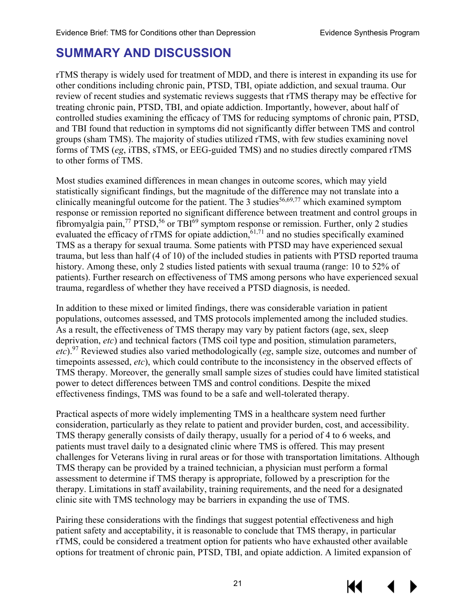# <span id="page-23-0"></span>**SUMMARY AND DISCUSSION**

rTMS therapy is widely used for treatment of MDD, and there is interest in expanding its use for other conditions including chronic pain, PTSD, TBI, opiate addiction, and sexual trauma. Our review of recent studies and systematic reviews suggests that rTMS therapy may be effective for treating chronic pain, PTSD, TBI, and opiate addiction. Importantly, however, about half of controlled studies examining the efficacy of TMS for reducing symptoms of chronic pain, PTSD, and TBI found that reduction in symptoms did not significantly differ between TMS and control groups (sham TMS). The majority of studies utilized rTMS, with few studies examining novel forms of TMS (*eg*, iTBS, sTMS, or EEG-guided TMS) and no studies directly compared rTMS to other forms of TMS.

Most studies examined differences in mean changes in outcome scores, which may yield statistically significant findings, but the magnitude of the difference may not translate into a clinically meaningful outcome for the patient. The 3 studies<sup>[56,](#page-31-21)[69,](#page-32-15)[77](#page-32-21)</sup> which examined symptom response or remission reported no significant difference between treatment and control groups in fibromyalgia pain,<sup>[77](#page-32-21)</sup> PTSD,<sup>[56](#page-31-21)</sup> or TBI<sup>[69](#page-32-15)</sup> symptom response or remission. Further, only 2 studies evaluated the efficacy of rTMS for opiate addiction, <sup>[61,](#page-31-27)[71](#page-32-0)</sup> and no studies specifically examined TMS as a therapy for sexual trauma. Some patients with PTSD may have experienced sexual trauma, but less than half (4 of 10) of the included studies in patients with PTSD reported trauma history. Among these, only 2 studies listed patients with sexual trauma (range: 10 to 52% of patients). Further research on effectiveness of TMS among persons who have experienced sexual trauma, regardless of whether they have received a PTSD diagnosis, is needed.

In addition to these mixed or limited findings, there was considerable variation in patient populations, outcomes assessed, and TMS protocols implemented among the included studies. As a result, the effectiveness of TMS therapy may vary by patient factors (age, sex, sleep deprivation, *etc*) and technical factors (TMS coil type and position, stimulation parameters, *etc*). [97](#page-34-4) Reviewed studies also varied methodologically (*eg*, sample size, outcomes and number of timepoints assessed, *etc*), which could contribute to the inconsistency in the observed effects of TMS therapy. Moreover, the generally small sample sizes of studies could have limited statistical power to detect differences between TMS and control conditions. Despite the mixed effectiveness findings, TMS was found to be a safe and well-tolerated therapy.

Practical aspects of more widely implementing TMS in a healthcare system need further consideration, particularly as they relate to patient and provider burden, cost, and accessibility. TMS therapy generally consists of daily therapy, usually for a period of 4 to 6 weeks, and patients must travel daily to a designated clinic where TMS is offered. This may present challenges for Veterans living in rural areas or for those with transportation limitations. Although TMS therapy can be provided by a trained technician, a physician must perform a formal assessment to determine if TMS therapy is appropriate, followed by a prescription for the therapy. Limitations in staff availability, training requirements, and the need for a designated clinic site with TMS technology may be barriers in expanding the use of TMS.

Pairing these considerations with the findings that suggest potential effectiveness and high patient safety and acceptability, it is reasonable to conclude that TMS therapy, in particular rTMS, could be considered a treatment option for patients who have exhausted other available options for treatment of chronic pain, PTSD, TBI, and opiate addiction. A limited expansion of

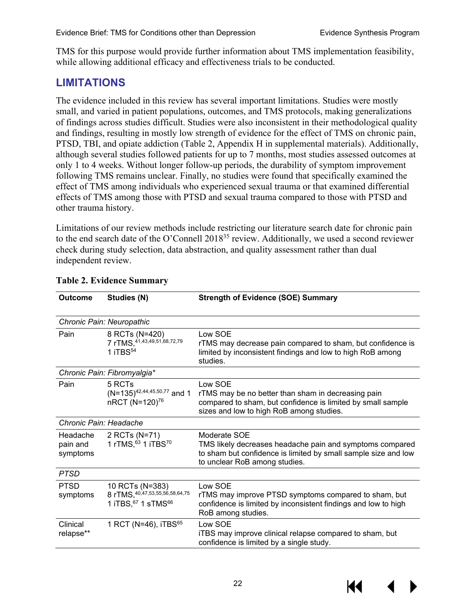TMS for this purpose would provide further information about TMS implementation feasibility, while allowing additional efficacy and effectiveness trials to be conducted.

#### <span id="page-24-0"></span>**LIMITATIONS**

The evidence included in this review has several important limitations. Studies were mostly small, and varied in patient populations, outcomes, and TMS protocols, making generalizations of findings across studies difficult. Studies were also inconsistent in their methodological quality and findings, resulting in mostly low strength of evidence for the effect of TMS on chronic pain, PTSD, TBI, and opiate addiction (Table 2, Appendix H in supplemental materials). Additionally, although several studies followed patients for up to 7 months, most studies assessed outcomes at only 1 to 4 weeks. Without longer follow-up periods, the durability of symptom improvement following TMS remains unclear. Finally, no studies were found that specifically examined the effect of TMS among individuals who experienced sexual trauma or that examined differential effects of TMS among those with PTSD and sexual trauma compared to those with PTSD and other trauma history.

Limitations of our review methods include restricting our literature search date for chronic pain to the end search date of the O'Connell 2018<sup>35</sup> review. Additionally, we used a second reviewer check during study selection, data abstraction, and quality assessment rather than dual independent review.

| <b>Outcome</b>                   | Studies (N)                                                                      | <b>Strength of Evidence (SOE) Summary</b>                                                                                                                                   |
|----------------------------------|----------------------------------------------------------------------------------|-----------------------------------------------------------------------------------------------------------------------------------------------------------------------------|
|                                  | Chronic Pain: Neuropathic                                                        |                                                                                                                                                                             |
| Pain                             | 8 RCTs (N=420)<br>7 rTMS, 41, 43, 49, 51, 68, 72, 79<br>1 iTBS <sup>54</sup>     | Low SOE<br>rTMS may decrease pain compared to sham, but confidence is<br>limited by inconsistent findings and low to high RoB among<br>studies.                             |
|                                  | Chronic Pain: Fibromyalgia*                                                      |                                                                                                                                                                             |
| Pain                             | 5 RCTs<br>$(N=135)^{42,44,45,50,77}$ and 1<br>nRCT (N=120) <sup>76</sup>         | Low SOE<br>rTMS may be no better than sham in decreasing pain<br>compared to sham, but confidence is limited by small sample<br>sizes and low to high RoB among studies.    |
| Chronic Pain: Headache           |                                                                                  |                                                                                                                                                                             |
| Headache<br>pain and<br>symptoms | 2 RCTs (N=71)<br>1 rTMS, 63 1 iTBS70                                             | Moderate SOE<br>TMS likely decreases headache pain and symptoms compared<br>to sham but confidence is limited by small sample size and low<br>to unclear RoB among studies. |
| <b>PTSD</b>                      |                                                                                  |                                                                                                                                                                             |
| <b>PTSD</b><br>symptoms          | 10 RCTs (N=383)<br>8 rTMS, 40, 47, 53, 55, 56, 58, 64, 75<br>1 iTBS, 67 1 sTMS66 | Low SOE<br>rTMS may improve PTSD symptoms compared to sham, but<br>confidence is limited by inconsistent findings and low to high<br>RoB among studies.                     |
| Clinical<br>relapse**            | 1 RCT (N=46), iTBS $^{65}$                                                       | Low SOE<br>iTBS may improve clinical relapse compared to sham, but<br>confidence is limited by a single study.                                                              |

#### <span id="page-24-1"></span>**Table 2. Evidence Summary**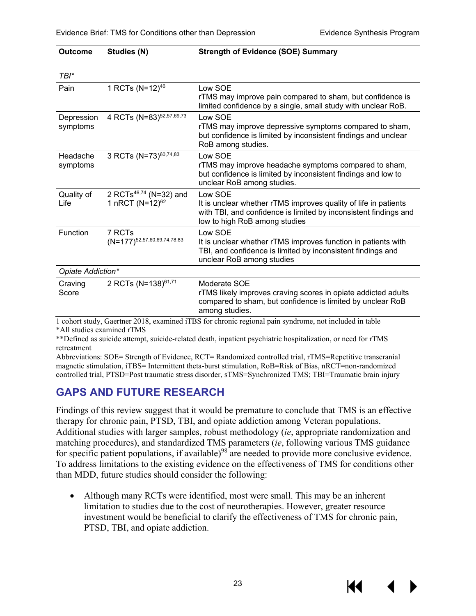**Outcome Studies (N) Strength of Evidence (SOE) Summary**

| $TBI^*$                |                                                                   |                                                                                                                                                                                 |  |  |
|------------------------|-------------------------------------------------------------------|---------------------------------------------------------------------------------------------------------------------------------------------------------------------------------|--|--|
| Pain                   | 1 RCTs (N=12) <sup>46</sup>                                       | Low SOE<br>rTMS may improve pain compared to sham, but confidence is<br>limited confidence by a single, small study with unclear RoB.                                           |  |  |
| Depression<br>symptoms | 4 RCTs (N=83) <sup>52,57,69,73</sup>                              | Low SOE<br>rTMS may improve depressive symptoms compared to sham,<br>but confidence is limited by inconsistent findings and unclear<br>RoB among studies.                       |  |  |
| Headache<br>symptoms   | 3 RCTs (N=73) <sup>60,74,83</sup>                                 | Low SOE<br>rTMS may improve headache symptoms compared to sham,<br>but confidence is limited by inconsistent findings and low to<br>unclear RoB among studies.                  |  |  |
| Quality of<br>Life     | 2 RCTs <sup>46,74</sup> (N=32) and<br>1 nRCT (N=12) <sup>62</sup> | Low SOE<br>It is unclear whether rTMS improves quality of life in patients<br>with TBI, and confidence is limited by inconsistent findings and<br>low to high RoB among studies |  |  |
| Function               | 7 RCTs<br>$(N=177)^{52,57,60,69,74,78,83}$                        | Low SOE<br>It is unclear whether rTMS improves function in patients with<br>TBI, and confidence is limited by inconsistent findings and<br>unclear RoB among studies            |  |  |
| Opiate Addiction*      |                                                                   |                                                                                                                                                                                 |  |  |
| Craving<br>Score       | 2 RCTs (N=138) <sup>61,71</sup>                                   | Moderate SOE<br>rTMS likely improves craving scores in opiate addicted adults<br>compared to sham, but confidence is limited by unclear RoB<br>among studies.                   |  |  |
|                        |                                                                   | 1 cohort study Georgian 2018, exemined iTRS for chronic regional pain syndrome, not included in toble                                                                           |  |  |

1 cohort study, Gaertner 2018, examined iTBS for chronic regional pain syndrome, not included in table \*All studies examined rTMS

\*\*Defined as suicide attempt, suicide-related death, inpatient psychiatric hospitalization, or need for rTMS retreatment

Abbreviations: SOE= Strength of Evidence, RCT= Randomized controlled trial, rTMS=Repetitive transcranial magnetic stimulation, iTBS= Intermittent theta-burst stimulation, RoB=Risk of Bias, nRCT=non-randomized controlled trial, PTSD=Post traumatic stress disorder, sTMS=Synchronized TMS; TBI=Traumatic brain injury

## <span id="page-25-0"></span>**GAPS AND FUTURE RESEARCH**

Findings of this review suggest that it would be premature to conclude that TMS is an effective therapy for chronic pain, PTSD, TBI, and opiate addiction among Veteran populations. Additional studies with larger samples, robust methodology (*ie*, appropriate randomization and matching procedures), and standardized TMS parameters (*ie*, following various TMS guidance for specific patient populations, if available)<sup>98</sup> are needed to provide more conclusive evidence. To address limitations to the existing evidence on the effectiveness of TMS for conditions other than MDD, future studies should consider the following:

• Although many RCTs were identified, most were small. This may be an inherent limitation to studies due to the cost of neurotherapies. However, greater resource investment would be beneficial to clarify the effectiveness of TMS for chronic pain, PTSD, TBI, and opiate addiction.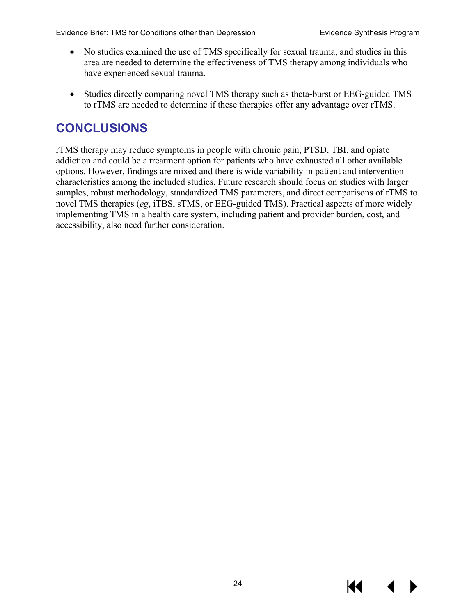- No studies examined the use of TMS specifically for sexual trauma, and studies in this area are needed to determine the effectiveness of TMS therapy among individuals who have experienced sexual trauma.
- Studies directly comparing novel TMS therapy such as theta-burst or EEG-guided TMS to rTMS are needed to determine if these therapies offer any advantage over rTMS.

# <span id="page-26-0"></span>**CONCLUSIONS**

rTMS therapy may reduce symptoms in people with chronic pain, PTSD, TBI, and opiate addiction and could be a treatment option for patients who have exhausted all other available options. However, findings are mixed and there is wide variability in patient and intervention characteristics among the included studies. Future research should focus on studies with larger samples, robust methodology, standardized TMS parameters, and direct comparisons of rTMS to novel TMS therapies (*eg*, iTBS, sTMS, or EEG-guided TMS). Practical aspects of more widely implementing TMS in a health care system, including patient and provider burden, cost, and accessibility, also need further consideration.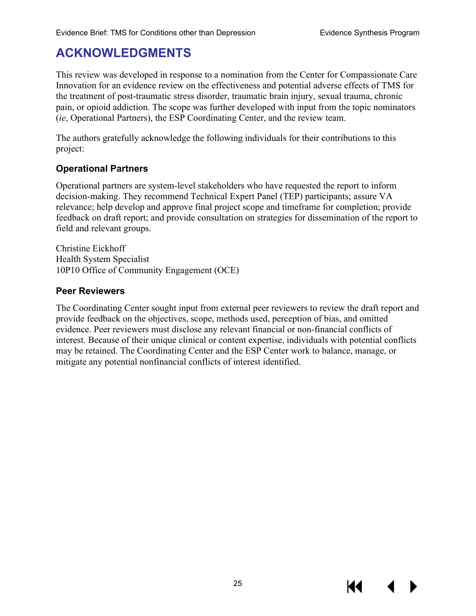# <span id="page-27-0"></span>**ACKNOWLEDGMENTS**

This review was developed in response to a nomination from the Center for Compassionate Care Innovation for an evidence review on the effectiveness and potential adverse effects of TMS for the treatment of post-traumatic stress disorder, traumatic brain injury, sexual trauma, chronic pain, or opioid addiction. The scope was further developed with input from the topic nominators (*ie*, Operational Partners), the ESP Coordinating Center, and the review team.

The authors gratefully acknowledge the following individuals for their contributions to this project:

#### **Operational Partners**

Operational partners are system-level stakeholders who have requested the report to inform decision-making. They recommend Technical Expert Panel (TEP) participants; assure VA relevance; help develop and approve final project scope and timeframe for completion; provide feedback on draft report; and provide consultation on strategies for dissemination of the report to field and relevant groups.

Christine Eickhoff Health System Specialist 10P10 Office of Community Engagement (OCE)

#### **Peer Reviewers**

The Coordinating Center sought input from external peer reviewers to review the draft report and provide feedback on the objectives, scope, methods used, perception of bias, and omitted evidence. Peer reviewers must disclose any relevant financial or non-financial conflicts of interest. Because of their unique clinical or content expertise, individuals with potential conflicts may be retained. The Coordinating Center and the ESP Center work to balance, manage, or mitigate any potential nonfinancial conflicts of interest identified.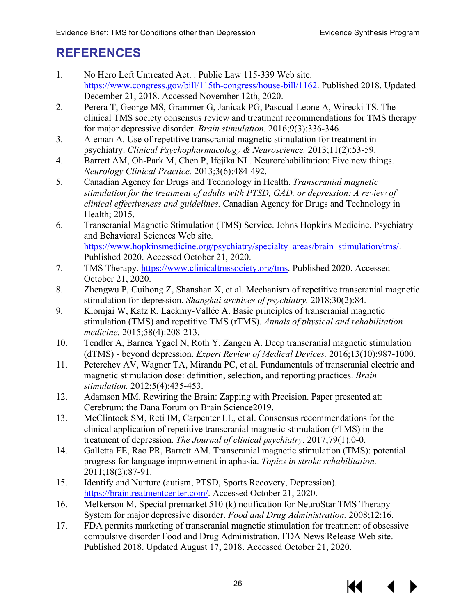# <span id="page-28-0"></span>**REFERENCES**

- <span id="page-28-1"></span>1. No Hero Left Untreated Act. . Public Law 115-339 Web site. [https://www.congress.gov/bill/115th-congress/house-bill/1162.](https://www.congress.gov/bill/115th-congress/house-bill/1162) Published 2018. Updated December 21, 2018. Accessed November 12th, 2020.
- <span id="page-28-2"></span>2. Perera T, George MS, Grammer G, Janicak PG, Pascual-Leone A, Wirecki TS. The clinical TMS society consensus review and treatment recommendations for TMS therapy for major depressive disorder. *Brain stimulation.* 2016;9(3):336-346.
- <span id="page-28-3"></span>3. Aleman A. Use of repetitive transcranial magnetic stimulation for treatment in psychiatry. *Clinical Psychopharmacology & Neuroscience.* 2013;11(2):53-59.
- <span id="page-28-4"></span>4. Barrett AM, Oh-Park M, Chen P, Ifejika NL. Neurorehabilitation: Five new things. *Neurology Clinical Practice.* 2013;3(6):484-492.
- <span id="page-28-5"></span>5. Canadian Agency for Drugs and Technology in Health. *Transcranial magnetic stimulation for the treatment of adults with PTSD, GAD, or depression: A review of clinical effectiveness and guidelines.* Canadian Agency for Drugs and Technology in Health; 2015.
- <span id="page-28-6"></span>6. Transcranial Magnetic Stimulation (TMS) Service. Johns Hopkins Medicine. Psychiatry and Behavioral Sciences Web site. [https://www.hopkinsmedicine.org/psychiatry/specialty\\_areas/brain\\_stimulation/tms/.](https://www.hopkinsmedicine.org/psychiatry/specialty_areas/brain_stimulation/tms/) Published 2020. Accessed October 21, 2020.
- <span id="page-28-7"></span>7. TMS Therapy. [https://www.clinicaltmssociety.org/tms.](https://www.clinicaltmssociety.org/tms) Published 2020. Accessed October 21, 2020.
- <span id="page-28-8"></span>8. Zhengwu P, Cuihong Z, Shanshan X, et al. Mechanism of repetitive transcranial magnetic stimulation for depression. *Shanghai archives of psychiatry.* 2018;30(2):84.
- <span id="page-28-9"></span>9. Klomjai W, Katz R, Lackmy-Vallée A. Basic principles of transcranial magnetic stimulation (TMS) and repetitive TMS (rTMS). *Annals of physical and rehabilitation medicine.* 2015;58(4):208-213.
- <span id="page-28-10"></span>10. Tendler A, Barnea Ygael N, Roth Y, Zangen A. Deep transcranial magnetic stimulation (dTMS) - beyond depression. *Expert Review of Medical Devices.* 2016;13(10):987-1000.
- <span id="page-28-11"></span>11. Peterchev AV, Wagner TA, Miranda PC, et al. Fundamentals of transcranial electric and magnetic stimulation dose: definition, selection, and reporting practices. *Brain stimulation.* 2012;5(4):435-453.
- <span id="page-28-12"></span>12. Adamson MM. Rewiring the Brain: Zapping with Precision. Paper presented at: Cerebrum: the Dana Forum on Brain Science2019.
- <span id="page-28-13"></span>13. McClintock SM, Reti IM, Carpenter LL, et al. Consensus recommendations for the clinical application of repetitive transcranial magnetic stimulation (rTMS) in the treatment of depression. *The Journal of clinical psychiatry.* 2017;79(1):0-0.
- <span id="page-28-14"></span>14. Galletta EE, Rao PR, Barrett AM. Transcranial magnetic stimulation (TMS): potential progress for language improvement in aphasia. *Topics in stroke rehabilitation.*  2011;18(2):87-91.
- <span id="page-28-15"></span>15. Identify and Nurture (autism, PTSD, Sports Recovery, Depression). [https://braintreatmentcenter.com/.](https://braintreatmentcenter.com/) Accessed October 21, 2020.
- <span id="page-28-16"></span>16. Melkerson M. Special premarket 510 (k) notification for NeuroStar TMS Therapy System for major depressive disorder. *Food and Drug Administration.* 2008;12:16.
- <span id="page-28-17"></span>17. FDA permits marketing of transcranial magnetic stimulation for treatment of obsessive compulsive disorder Food and Drug Administration. FDA News Release Web site. Published 2018. Updated August 17, 2018. Accessed October 21, 2020.

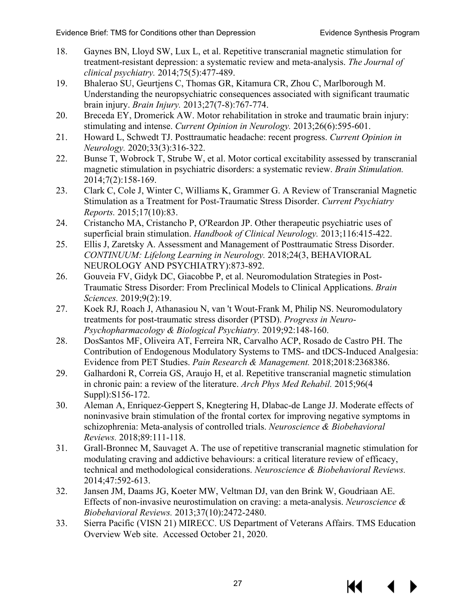- <span id="page-29-0"></span>18. Gaynes BN, Lloyd SW, Lux L, et al. Repetitive transcranial magnetic stimulation for treatment-resistant depression: a systematic review and meta-analysis. *The Journal of clinical psychiatry.* 2014;75(5):477-489.
- <span id="page-29-1"></span>19. Bhalerao SU, Geurtjens C, Thomas GR, Kitamura CR, Zhou C, Marlborough M. Understanding the neuropsychiatric consequences associated with significant traumatic brain injury. *Brain Injury.* 2013;27(7-8):767-774.
- 20. Breceda EY, Dromerick AW. Motor rehabilitation in stroke and traumatic brain injury: stimulating and intense. *Current Opinion in Neurology.* 2013;26(6):595-601.
- 21. Howard L, Schwedt TJ. Posttraumatic headache: recent progress. *Current Opinion in Neurology.* 2020;33(3):316-322.
- <span id="page-29-2"></span>22. Bunse T, Wobrock T, Strube W, et al. Motor cortical excitability assessed by transcranial magnetic stimulation in psychiatric disorders: a systematic review. *Brain Stimulation.*  2014;7(2):158-169.
- 23. Clark C, Cole J, Winter C, Williams K, Grammer G. A Review of Transcranial Magnetic Stimulation as a Treatment for Post-Traumatic Stress Disorder. *Current Psychiatry Reports.* 2015;17(10):83.
- <span id="page-29-5"></span>24. Cristancho MA, Cristancho P, O'Reardon JP. Other therapeutic psychiatric uses of superficial brain stimulation. *Handbook of Clinical Neurology.* 2013;116:415-422.
- 25. Ellis J, Zaretsky A. Assessment and Management of Posttraumatic Stress Disorder. *CONTINUUM: Lifelong Learning in Neurology.* 2018;24(3, BEHAVIORAL NEUROLOGY AND PSYCHIATRY):873-892.
- 26. Gouveia FV, Gidyk DC, Giacobbe P, et al. Neuromodulation Strategies in Post-Traumatic Stress Disorder: From Preclinical Models to Clinical Applications. *Brain Sciences.* 2019;9(2):19.
- 27. Koek RJ, Roach J, Athanasiou N, van 't Wout-Frank M, Philip NS. Neuromodulatory treatments for post-traumatic stress disorder (PTSD). *Progress in Neuro-Psychopharmacology & Biological Psychiatry.* 2019;92:148-160.
- <span id="page-29-3"></span>28. DosSantos MF, Oliveira AT, Ferreira NR, Carvalho ACP, Rosado de Castro PH. The Contribution of Endogenous Modulatory Systems to TMS- and tDCS-Induced Analgesia: Evidence from PET Studies. *Pain Research & Management.* 2018;2018:2368386.
- <span id="page-29-4"></span>29. Galhardoni R, Correia GS, Araujo H, et al. Repetitive transcranial magnetic stimulation in chronic pain: a review of the literature. *Arch Phys Med Rehabil.* 2015;96(4 Suppl):S156-172.
- <span id="page-29-6"></span>30. Aleman A, Enriquez-Geppert S, Knegtering H, Dlabac-de Lange JJ. Moderate effects of noninvasive brain stimulation of the frontal cortex for improving negative symptoms in schizophrenia: Meta-analysis of controlled trials. *Neuroscience & Biobehavioral Reviews.* 2018;89:111-118.
- <span id="page-29-7"></span>31. Grall-Bronnec M, Sauvaget A. The use of repetitive transcranial magnetic stimulation for modulating craving and addictive behaviours: a critical literature review of efficacy, technical and methodological considerations. *Neuroscience & Biobehavioral Reviews.*  2014;47:592-613.
- <span id="page-29-8"></span>32. Jansen JM, Daams JG, Koeter MW, Veltman DJ, van den Brink W, Goudriaan AE. Effects of non-invasive neurostimulation on craving: a meta-analysis. *Neuroscience & Biobehavioral Reviews.* 2013;37(10):2472-2480.
- <span id="page-29-9"></span>33. Sierra Pacific (VISN 21) MIRECC. US Department of Veterans Affairs. TMS Education Overview Web site. Accessed October 21, 2020.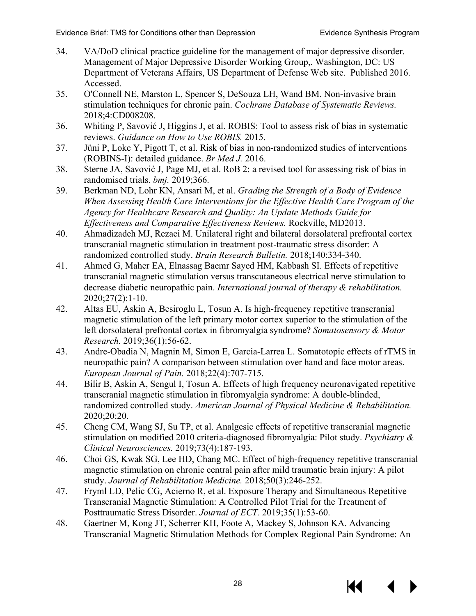- <span id="page-30-0"></span>34. VA/DoD clinical practice guideline for the management of major depressive disorder. Management of Major Depressive Disorder Working Group,. Washington, DC: US Department of Veterans Affairs, US Department of Defense Web site. Published 2016. Accessed.
- <span id="page-30-12"></span><span id="page-30-1"></span>35. O'Connell NE, Marston L, Spencer S, DeSouza LH, Wand BM. Non-invasive brain stimulation techniques for chronic pain. *Cochrane Database of Systematic Reviews.*  2018;4:CD008208.
- <span id="page-30-6"></span><span id="page-30-2"></span>36. Whiting P, Savović J, Higgins J, et al. ROBIS: Tool to assess risk of bias in systematic reviews. *Guidance on How to Use ROBIS.* 2015.
- 37. Jüni P, Loke Y, Pigott T, et al. Risk of bias in non-randomized studies of interventions (ROBINS-I): detailed guidance. *Br Med J.* 2016.
- <span id="page-30-8"></span>38. Sterne JA, Savović J, Page MJ, et al. RoB 2: a revised tool for assessing risk of bias in randomised trials. *bmj.* 2019;366.
- <span id="page-30-7"></span><span id="page-30-3"></span>39. Berkman ND, Lohr KN, Ansari M, et al. *Grading the Strength of a Body of Evidence When Assessing Health Care Interventions for the Effective Health Care Program of the Agency for Healthcare Research and Quality: An Update Methods Guide for Effectiveness and Comparative Effectiveness Reviews.* Rockville, MD2013.
- <span id="page-30-9"></span><span id="page-30-4"></span>40. Ahmadizadeh MJ, Rezaei M. Unilateral right and bilateral dorsolateral prefrontal cortex transcranial magnetic stimulation in treatment post-traumatic stress disorder: A randomized controlled study. *Brain Research Bulletin.* 2018;140:334-340.
- <span id="page-30-16"></span><span id="page-30-10"></span>41. Ahmed G, Maher EA, Elnassag Baemr Sayed HM, Kabbash SI. Effects of repetitive transcranial magnetic stimulation versus transcutaneous electrical nerve stimulation to decrease diabetic neuropathic pain. *International journal of therapy & rehabilitation.*  2020;27(2):1-10.
- <span id="page-30-17"></span><span id="page-30-14"></span>42. Altas EU, Askin A, Besiroglu L, Tosun A. Is high-frequency repetitive transcranial magnetic stimulation of the left primary motor cortex superior to the stimulation of the left dorsolateral prefrontal cortex in fibromyalgia syndrome? *Somatosensory & Motor Research.* 2019;36(1):56-62.
- <span id="page-30-15"></span><span id="page-30-13"></span>43. Andre-Obadia N, Magnin M, Simon E, Garcia-Larrea L. Somatotopic effects of rTMS in neuropathic pain? A comparison between stimulation over hand and face motor areas. *European Journal of Pain.* 2018;22(4):707-715.
- <span id="page-30-11"></span>44. Bilir B, Askin A, Sengul I, Tosun A. Effects of high frequency neuronavigated repetitive transcranial magnetic stimulation in fibromyalgia syndrome: A double-blinded, randomized controlled study. *American Journal of Physical Medicine & Rehabilitation.*  2020;20:20.
- <span id="page-30-18"></span>45. Cheng CM, Wang SJ, Su TP, et al. Analgesic effects of repetitive transcranial magnetic stimulation on modified 2010 criteria-diagnosed fibromyalgia: Pilot study. *Psychiatry & Clinical Neurosciences.* 2019;73(4):187-193.
- <span id="page-30-20"></span>46. Choi GS, Kwak SG, Lee HD, Chang MC. Effect of high-frequency repetitive transcranial magnetic stimulation on chronic central pain after mild traumatic brain injury: A pilot study. *Journal of Rehabilitation Medicine.* 2018;50(3):246-252.
- <span id="page-30-19"></span>47. Fryml LD, Pelic CG, Acierno R, et al. Exposure Therapy and Simultaneous Repetitive Transcranial Magnetic Stimulation: A Controlled Pilot Trial for the Treatment of Posttraumatic Stress Disorder. *Journal of ECT.* 2019;35(1):53-60.
- <span id="page-30-5"></span>48. Gaertner M, Kong JT, Scherrer KH, Foote A, Mackey S, Johnson KA. Advancing Transcranial Magnetic Stimulation Methods for Complex Regional Pain Syndrome: An

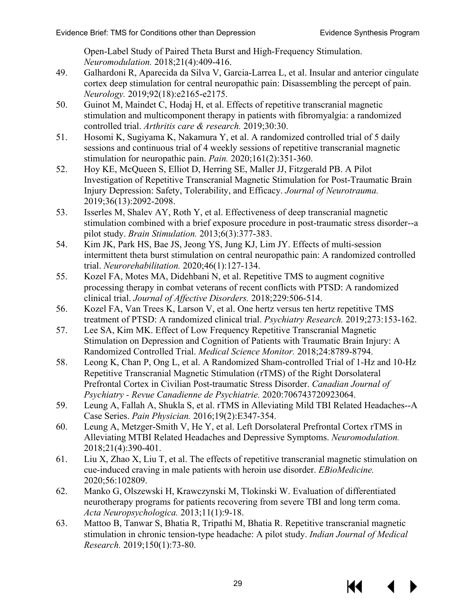<span id="page-31-10"></span><span id="page-31-4"></span><span id="page-31-2"></span><span id="page-31-1"></span>Open-Label Study of Paired Theta Burst and High-Frequency Stimulation. *Neuromodulation.* 2018;21(4):409-416.

- <span id="page-31-16"></span><span id="page-31-6"></span>49. Galhardoni R, Aparecida da Silva V, Garcia-Larrea L, et al. Insular and anterior cingulate cortex deep stimulation for central neuropathic pain: Disassembling the percept of pain. *Neurology.* 2019;92(18):e2165-e2175.
- <span id="page-31-3"></span>50. Guinot M, Maindet C, Hodaj H, et al. Effects of repetitive transcranial magnetic stimulation and multicomponent therapy in patients with fibromyalgia: a randomized controlled trial. *Arthritis care & research.* 2019;30:30.
- <span id="page-31-17"></span><span id="page-31-7"></span>51. Hosomi K, Sugiyama K, Nakamura Y, et al. A randomized controlled trial of 5 daily sessions and continuous trial of 4 weekly sessions of repetitive transcranial magnetic stimulation for neuropathic pain. *Pain.* 2020;161(2):351-360.
- <span id="page-31-11"></span><span id="page-31-8"></span>52. Hoy KE, McQueen S, Elliot D, Herring SE, Maller JJ, Fitzgerald PB. A Pilot Investigation of Repetitive Transcranial Magnetic Stimulation for Post-Traumatic Brain Injury Depression: Safety, Tolerability, and Efficacy. *Journal of Neurotrauma.*  2019;36(13):2092-2098.
- <span id="page-31-19"></span><span id="page-31-9"></span>53. Isserles M, Shalev AY, Roth Y, et al. Effectiveness of deep transcranial magnetic stimulation combined with a brief exposure procedure in post-traumatic stress disorder--a pilot study. *Brain Stimulation.* 2013;6(3):377-383.
- <span id="page-31-0"></span>54. Kim JK, Park HS, Bae JS, Jeong YS, Jung KJ, Lim JY. Effects of multi-session intermittent theta burst stimulation on central neuropathic pain: A randomized controlled trial. *Neurorehabilitation.* 2020;46(1):127-134.
- <span id="page-31-20"></span><span id="page-31-13"></span><span id="page-31-12"></span>55. Kozel FA, Motes MA, Didehbani N, et al. Repetitive TMS to augment cognitive processing therapy in combat veterans of recent conflicts with PTSD: A randomized clinical trial. *Journal of Affective Disorders.* 2018;229:506-514.
- <span id="page-31-21"></span><span id="page-31-15"></span>56. Kozel FA, Van Trees K, Larson V, et al. One hertz versus ten hertz repetitive TMS treatment of PTSD: A randomized clinical trial. *Psychiatry Research.* 2019;273:153-162.
- <span id="page-31-23"></span>57. Lee SA, Kim MK. Effect of Low Frequency Repetitive Transcranial Magnetic Stimulation on Depression and Cognition of Patients with Traumatic Brain Injury: A Randomized Controlled Trial. *Medical Science Monitor.* 2018;24:8789-8794.
- <span id="page-31-22"></span><span id="page-31-14"></span><span id="page-31-5"></span>58. Leong K, Chan P, Ong L, et al. A Randomized Sham-controlled Trial of 1-Hz and 10-Hz Repetitive Transcranial Magnetic Stimulation (rTMS) of the Right Dorsolateral Prefrontal Cortex in Civilian Post-traumatic Stress Disorder. *Canadian Journal of Psychiatry - Revue Canadienne de Psychiatrie.* 2020:706743720923064.
- <span id="page-31-24"></span>59. Leung A, Fallah A, Shukla S, et al. rTMS in Alleviating Mild TBI Related Headaches--A Case Series. *Pain Physician.* 2016;19(2):E347-354.
- <span id="page-31-25"></span>60. Leung A, Metzger-Smith V, He Y, et al. Left Dorsolateral Prefrontal Cortex rTMS in Alleviating MTBI Related Headaches and Depressive Symptoms. *Neuromodulation.*  2018;21(4):390-401.
- <span id="page-31-27"></span>61. Liu X, Zhao X, Liu T, et al. The effects of repetitive transcranial magnetic stimulation on cue-induced craving in male patients with heroin use disorder. *EBioMedicine.*  2020;56:102809.
- <span id="page-31-26"></span>62. Manko G, Olszewski H, Krawczynski M, Tlokinski W. Evaluation of differentiated neurotherapy programs for patients recovering from severe TBI and long term coma. *Acta Neuropsychologica.* 2013;11(1):9-18.
- <span id="page-31-18"></span>63. Mattoo B, Tanwar S, Bhatia R, Tripathi M, Bhatia R. Repetitive transcranial magnetic stimulation in chronic tension-type headache: A pilot study. *Indian Journal of Medical Research.* 2019;150(1):73-80.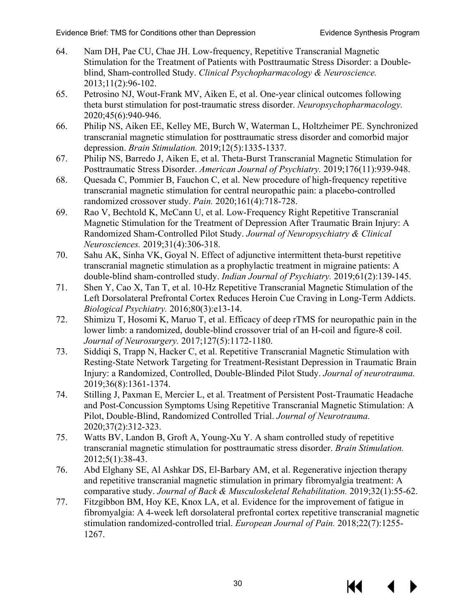- <span id="page-32-22"></span><span id="page-32-14"></span><span id="page-32-12"></span><span id="page-32-11"></span><span id="page-32-10"></span><span id="page-32-9"></span><span id="page-32-4"></span>64. Nam DH, Pae CU, Chae JH. Low-frequency, Repetitive Transcranial Magnetic Stimulation for the Treatment of Patients with Posttraumatic Stress Disorder: a Doubleblind, Sham-controlled Study. *Clinical Psychopharmacology & Neuroscience.*  2013;11(2):96-102.
- <span id="page-32-3"></span>65. Petrosino NJ, Wout-Frank MV, Aiken E, et al. One-year clinical outcomes following theta burst stimulation for post-traumatic stress disorder. *Neuropsychopharmacology.*  2020;45(6):940-946.
- <span id="page-32-24"></span><span id="page-32-8"></span>66. Philip NS, Aiken EE, Kelley ME, Burch W, Waterman L, Holtzheimer PE. Synchronized transcranial magnetic stimulation for posttraumatic stress disorder and comorbid major depression. *Brain Stimulation.* 2019;12(5):1335-1337.
- <span id="page-32-17"></span><span id="page-32-2"></span>67. Philip NS, Barredo J, Aiken E, et al. Theta-Burst Transcranial Magnetic Stimulation for Posttraumatic Stress Disorder. *American Journal of Psychiatry.* 2019;176(11):939-948.
- <span id="page-32-18"></span><span id="page-32-5"></span>68. Quesada C, Pommier B, Fauchon C, et al. New procedure of high-frequency repetitive transcranial magnetic stimulation for central neuropathic pain: a placebo-controlled randomized crossover study. *Pain.* 2020;161(4):718-728.
- <span id="page-32-15"></span>69. Rao V, Bechtold K, McCann U, et al. Low-Frequency Right Repetitive Transcranial Magnetic Stimulation for the Treatment of Depression After Traumatic Brain Injury: A Randomized Sham-Controlled Pilot Study. *Journal of Neuropsychiatry & Clinical Neurosciences.* 2019;31(4):306-318.
- <span id="page-32-16"></span><span id="page-32-1"></span>70. Sahu AK, Sinha VK, Goyal N. Effect of adjunctive intermittent theta-burst repetitive transcranial magnetic stimulation as a prophylactic treatment in migraine patients: A double-blind sham-controlled study. *Indian Journal of Psychiatry.* 2019;61(2):139-145.
- <span id="page-32-13"></span><span id="page-32-0"></span>71. Shen Y, Cao X, Tan T, et al. 10-Hz Repetitive Transcranial Magnetic Stimulation of the Left Dorsolateral Prefrontal Cortex Reduces Heroin Cue Craving in Long-Term Addicts. *Biological Psychiatry.* 2016;80(3):e13-14.
- <span id="page-32-19"></span><span id="page-32-6"></span>72. Shimizu T, Hosomi K, Maruo T, et al. Efficacy of deep rTMS for neuropathic pain in the lower limb: a randomized, double-blind crossover trial of an H-coil and figure-8 coil. *Journal of Neurosurgery.* 2017;127(5):1172-1180.
- <span id="page-32-25"></span><span id="page-32-7"></span>73. Siddiqi S, Trapp N, Hacker C, et al. Repetitive Transcranial Magnetic Stimulation with Resting-State Network Targeting for Treatment-Resistant Depression in Traumatic Brain Injury: a Randomized, Controlled, Double-Blinded Pilot Study. *Journal of neurotrauma.*  2019;36(8):1361-1374.
- <span id="page-32-26"></span>74. Stilling J, Paxman E, Mercier L, et al. Treatment of Persistent Post-Traumatic Headache and Post-Concussion Symptoms Using Repetitive Transcranial Magnetic Stimulation: A Pilot, Double-Blind, Randomized Controlled Trial. *Journal of Neurotrauma.*  2020;37(2):312-323.
- <span id="page-32-23"></span>75. Watts BV, Landon B, Groft A, Young-Xu Y. A sham controlled study of repetitive transcranial magnetic stimulation for posttraumatic stress disorder. *Brain Stimulation.*  2012;5(1):38-43.
- <span id="page-32-20"></span>76. Abd Elghany SE, Al Ashkar DS, El-Barbary AM, et al. Regenerative injection therapy and repetitive transcranial magnetic stimulation in primary fibromyalgia treatment: A comparative study. *Journal of Back & Musculoskeletal Rehabilitation.* 2019;32(1):55-62.
- <span id="page-32-21"></span>77. Fitzgibbon BM, Hoy KE, Knox LA, et al. Evidence for the improvement of fatigue in fibromyalgia: A 4-week left dorsolateral prefrontal cortex repetitive transcranial magnetic stimulation randomized-controlled trial. *European Journal of Pain.* 2018;22(7):1255- 1267.

KK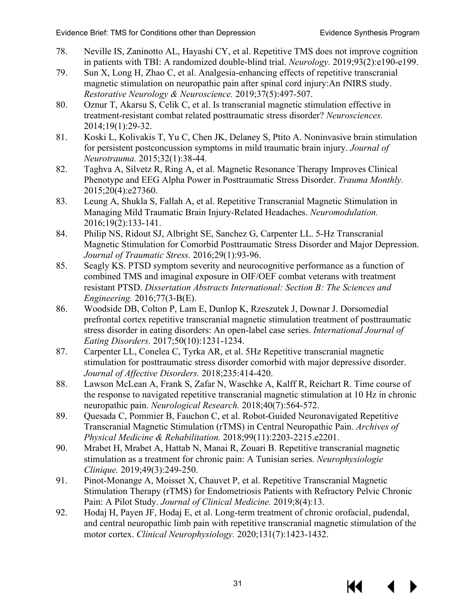- <span id="page-33-11"></span><span id="page-33-2"></span><span id="page-33-1"></span>78. Neville IS, Zaninotto AL, Hayashi CY, et al. Repetitive TMS does not improve cognition in patients with TBI: A randomized double-blind trial. *Neurology.* 2019;93(2):e190-e199.
- <span id="page-33-3"></span>79. Sun X, Long H, Zhao C, et al. Analgesia-enhancing effects of repetitive transcranial magnetic stimulation on neuropathic pain after spinal cord injury:An fNIRS study. *Restorative Neurology & Neuroscience.* 2019;37(5):497-507.
- <span id="page-33-0"></span>80. Oznur T, Akarsu S, Celik C, et al. Is transcranial magnetic stimulation effective in treatment-resistant combat related posttraumatic stress disorder? *Neurosciences.*  2014;19(1):29-32.
- <span id="page-33-13"></span>81. Koski L, Kolivakis T, Yu C, Chen JK, Delaney S, Ptito A. Noninvasive brain stimulation for persistent postconcussion symptoms in mild traumatic brain injury. *Journal of Neurotrauma.* 2015;32(1):38-44.
- <span id="page-33-9"></span>82. Taghva A, Silvetz R, Ring A, et al. Magnetic Resonance Therapy Improves Clinical Phenotype and EEG Alpha Power in Posttraumatic Stress Disorder. *Trauma Monthly.*  2015;20(4):e27360.
- <span id="page-33-12"></span>83. Leung A, Shukla S, Fallah A, et al. Repetitive Transcranial Magnetic Stimulation in Managing Mild Traumatic Brain Injury-Related Headaches. *Neuromodulation.*  2016;19(2):133-141.
- <span id="page-33-10"></span>84. Philip NS, Ridout SJ, Albright SE, Sanchez G, Carpenter LL. 5-Hz Transcranial Magnetic Stimulation for Comorbid Posttraumatic Stress Disorder and Major Depression. *Journal of Traumatic Stress.* 2016;29(1):93-96.
- 85. Seagly KS. PTSD symptom severity and neurocognitive performance as a function of combined TMS and imaginal exposure in OIF/OEF combat veterans with treatment resistant PTSD. *Dissertation Abstracts International: Section B: The Sciences and Engineering.* 2016;77(3-B(E).
- 86. Woodside DB, Colton P, Lam E, Dunlop K, Rzeszutek J, Downar J. Dorsomedial prefrontal cortex repetitive transcranial magnetic stimulation treatment of posttraumatic stress disorder in eating disorders: An open-label case series. *International Journal of Eating Disorders.* 2017;50(10):1231-1234.
- 87. Carpenter LL, Conelea C, Tyrka AR, et al. 5Hz Repetitive transcranial magnetic stimulation for posttraumatic stress disorder comorbid with major depressive disorder. *Journal of Affective Disorders.* 2018;235:414-420.
- <span id="page-33-4"></span>88. Lawson McLean A, Frank S, Zafar N, Waschke A, Kalff R, Reichart R. Time course of the response to navigated repetitive transcranial magnetic stimulation at 10 Hz in chronic neuropathic pain. *Neurological Research.* 2018;40(7):564-572.
- <span id="page-33-5"></span>89. Quesada C, Pommier B, Fauchon C, et al. Robot-Guided Neuronavigated Repetitive Transcranial Magnetic Stimulation (rTMS) in Central Neuropathic Pain. *Archives of Physical Medicine & Rehabilitation.* 2018;99(11):2203-2215.e2201.
- <span id="page-33-8"></span>90. Mrabet H, Mrabet A, Hattab N, Manai R, Zouari B. Repetitive transcranial magnetic stimulation as a treatment for chronic pain: A Tunisian series. *Neurophysiologie Clinique.* 2019;49(3):249-250.
- <span id="page-33-7"></span>91. Pinot-Monange A, Moisset X, Chauvet P, et al. Repetitive Transcranial Magnetic Stimulation Therapy (rTMS) for Endometriosis Patients with Refractory Pelvic Chronic Pain: A Pilot Study. *Journal of Clinical Medicine.* 2019;8(4):13.
- <span id="page-33-6"></span>92. Hodaj H, Payen JF, Hodaj E, et al. Long-term treatment of chronic orofacial, pudendal, and central neuropathic limb pain with repetitive transcranial magnetic stimulation of the motor cortex. *Clinical Neurophysiology.* 2020;131(7):1423-1432.